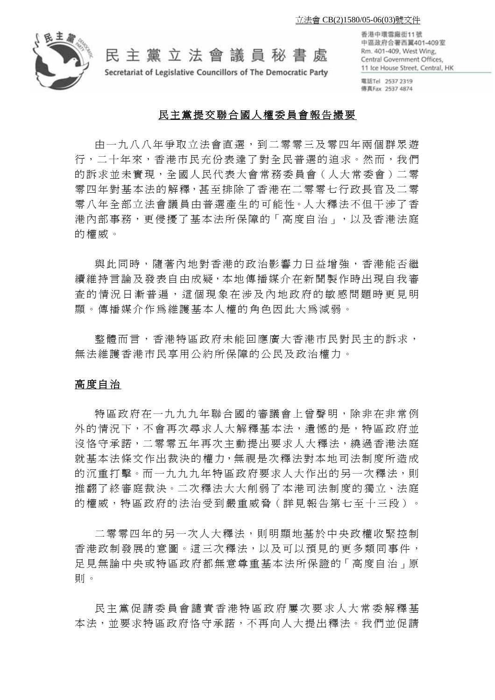

民主黨立法會議員秘書處

Secretariat of Legislative Councillors of The Democratic Party

香港中環雪廠街11號 中區政府合署西翼401-409室 Rm. 401-409, West Wing, Central Government Offices, 11 Ice House Street, Central, HK

電話Tel 2537 2319 傳真Fax 2537 4874

# 民主黨提交聯合國人權委員會報告撮要

由一九八八年爭取立法會直選,到二零零三及零四年兩個群眾游 行,二十年來,香港市民充份表達了對全民普選的追求。然而,我們 的訴求並未實現,全國人民代表大會常務委員會(人大常委會)二零 零四年對基本法的解釋,甚至排除了香港在二零零七行政長官及二零 零八年全部立法會議員由普選產生的可能性。人大釋法不但干涉了香 港內部事務,更侵擾了基本法所保障的「高度自治」,以及香港法庭 的權威。

與此同時,隨著內地對香港的政治影響力日益增強,香港能否繼 續 維 持 言 論 及 發 表 自 由 成 疑,本地 傳播媒介在新聞製作時出現自我審 查的情況日漸普遍,這個現象在涉及內地政府的敏感問題時更見明 顯。傳播媒介作為維護基本人 權的角色因此大為減弱。

整體而言,香港特區政府未能回應廣大香港市民對民主的訴求, 無法維護香港市民享用公約所保障的公民及政治權力。

# 高度自治

特區政府在一九九九年聯合國的審議會上曾聲明,除非在非常例 外的情況下,不會再次尋求人大解釋基本法,潰憾的是,特區政府並 沒恪守承諾,二零零五年再次主動提出要求人大釋法,繞過香港法庭 就基本法條文作出裁決的權力,無視是次釋法對本地司法制度所造成 的沉重打擊。而一九九九年特區政府要求人大作出的另一次釋法,則 推翻了終審庭裁決。二次釋法大大削弱了本港司法制度的獨立、法庭 的權威,特區政府的法治受到嚴重威脅 (詳見報告第七至十三段)。

二零零四年的另一次人大釋法,則明顯地基於中央政權收緊控制 香港政制發展的意圖。這三次釋法,以及可以預見的更多類同事件, 足見無論中央或特區政府都無意尊重基本法所保證的「高度自治」原 則 。

民主黨 促 請 委員會 譴 責 香港特區政府 屢 次要求人大常委解釋基 本法,並要求特區政府恪守承諾,不再向人大提出釋法。我們並促請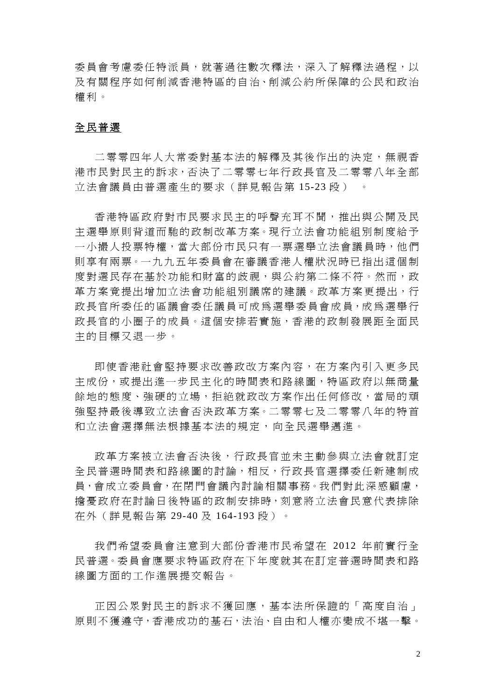委員會考慮委任特派員,就著渦往數次釋法,深入了解釋法渦程,以 及 有關程序如何削減香港特區的自治、削減公約所保障的公民和政 治 權 利。

# 全民普選

二零零四年人大常委對基本法的解釋及其後作出的決定,無視香 港市民對民主的訴求,否決了二零零七年行政長官及二零零八年全部 立法會議員由普選產生的要求(詳見報告第 15-23 段)

香港特區政府對市民要求民主的呼聲充 耳不聞,推出與公 開 及 民 主選舉原則背道而馳的政制改革方案。現行立法會功能組別制度給予 一 小撮人投 票特權,當大部份市民只有 一票選舉 立法會議員時,他 們 則 享有兩票。一 九九五年委員會在審議香港人權 狀況時已 指出這個制 度對選民存在基於功能和財富的歧視,與公約第二條不符。然而,政 革方案竟提出增加立法會功能組別議席的建議。政革方案更提出,行 政長官所委任的區議會委任議員可成為選舉委員會成員,成為選舉行 政長官的小圈子的成員。這個安排若實施,香港的政制發展距全面民 主的目標又退一步。

即使香港社會堅持要求改善政改方案內容,在方案內引入更多民 主成份,或提出淮一步民主化的時間表和路線圖,特區政府以無商量 餘地的態度、強硬的立場,拒絶就政改方案作出任何修改,當局的頑 強堅持最後導致立法會否決政革方案。二零零七及二零零八年的特首 和立法會選擇無法根據基本法的規定, 向全民選舉邁進。

政革方案被立法會否決後,行政長官並未主動參與立法會就訂定 全民普選時間表和路線圖的討論,相反,行政長官選擇委任新建制成 員,會 成立 委員會,在閉 門會議內討論 相關事務。我 們對此深感顧 慮, 擔 憂政府在 討論日後 特區的政制安排時,刻意將 立法會民 意代表排除 在外(詳見報告 第 29-40 及 164-193 段) 。

我們希望委員會注意到大部份香港市民希望在 2012 年前實行全 民普選。委員會應要求特區政府在下年度就其在訂定普選時間表和路 線圖方面的工作進展提交報告。

正 因公眾對民主的訴求不獲回應,基本法所保證 的「高度自治」 原則不獲遵守,香港成功的基石,法治、自由和人權亦變成不堪一擊。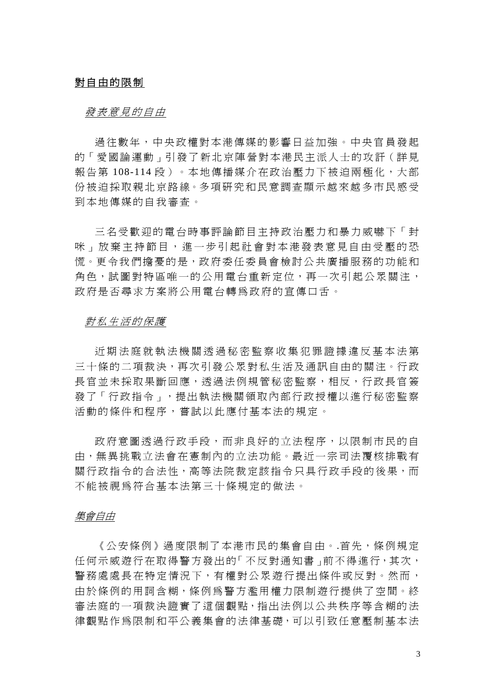# 對自由的限制

# 發 <sup>表</sup>意見的自由

過往數年,中央政權對本港傳媒的影響日益加強。中央官員發起 的「愛國論運動」引發了新北京陣營對本港民主派人士的攻訐(詳見 報 告第 108-114 段)。本地傳播媒介在政治壓力 下被迫兩 極化,大部 份被迫採取親北京路線。多項研究和民意調査顯示越來越多市民感受 到本地傳媒的自我審查。

三名受歡迎的電台時事評論節目主持政治壓力和暴力威嚇下「封 咪 」 放 棄 主 持 節 目 , 進 一 步引起社 會對本港發表 意 見自由 受 壓 的 恐 慌。更令我們擔憂的是,政府委任委員會檢討公共廣播服務的功能和 角色,試圖對特區唯一的公用電台重新定位,再一次引起公眾關注, 政府是否尋求方案將公用電台轉為政府的宣傳口舌。

# 對 私生活的保護

近期法庭就 数法機關透過秘密監察收集犯罪證據違反基本法第 三十條的二項裁決,再次引發公眾對私生活及通訊自由的關注。行政 長官並未採取果斷回應,透過法例規管秘密監察,相反,行政長官簽 發了「行政 指令」,提出執法 機關領取內部行政 授權以進 行秘密監察 活動的條件和程序, 嘗試以此應付基本法的規定。

政府意圖透過行政手段,而非良好的立法程序,以限制市民的自 由,無異挑戰立法會在憲制內的立法功能。最近一宗司法覆核排戰有 關行政指令的合法性,高等法院裁定該指令只具行政手段的後果,而 不能被視為符合基本法第三十條規定的做法。

### 集會自由

《公安條例》 過度限制了本港市民的集會自由。.首先,條例規定 任何示威遊行在取得警方發出的「不反對通知書」前不得進行,其次, 警務處處長在特定情況下,有權對公眾遊行提出條件或反對。然而, 由於條例的用詞含糊,條例為警方濫用權力限制遊行提供了空間。終 審法庭的一 項裁決證 實了這個 觀點,指 出法例以公共秩序 等含糊的 法 律觀點作為限制和平公義集會的法律基礎,可以引致任意壓制基本法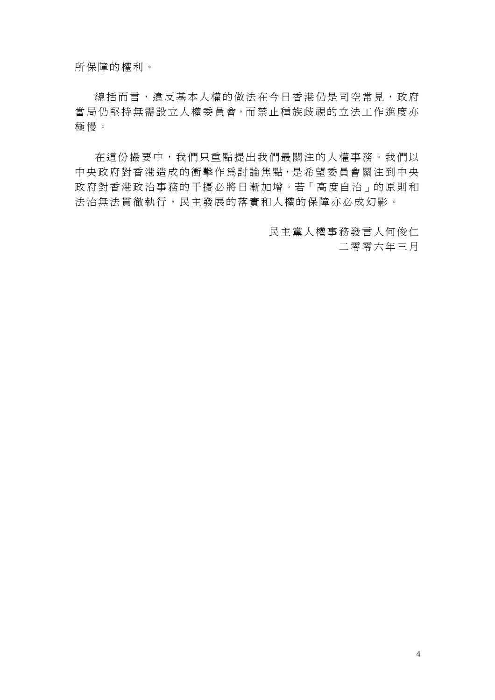所保障的權利。

總括而言,違反基本人權的做法在今日香港仍是司空常見,政府 當局仍堅持無需設立人權委員會,而禁止種族歧視的立法工作進度亦 極 慢。

在這份撮要中,我們只重點提出我們最關注的人權事務。我們以 中央政府對香港造成的衝擊作為討論焦點,是希望委員會關注到中央 政府對香港政治事務的干擾必將日漸加增。若「高度自治」的原則和 法治無法貫徹執行,民主發展的落實和人權的保障亦必成幻影。

> 民主黨人權事務發言人何俊仁 二零零六年 三月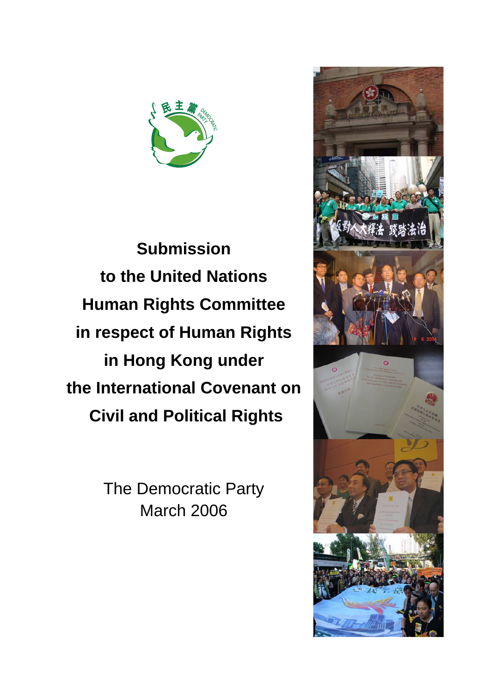

**Submission to the United Nations Human Rights Committee in respect of Human Rights in Hong Kong under the International Covenant on Civil and Political Rights**

> The Democratic Party March 2006

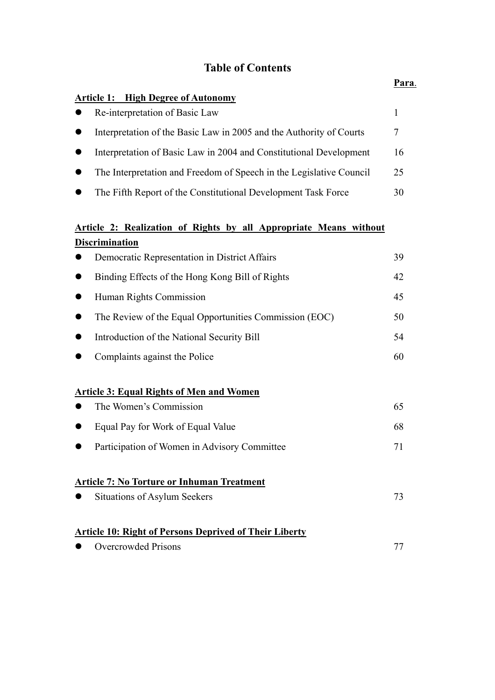# **Table of Contents**

|                                                                     | Para. |
|---------------------------------------------------------------------|-------|
| <b>Article 1: High Degree of Autonomy</b>                           |       |
| Re-interpretation of Basic Law                                      | 1     |
| Interpretation of the Basic Law in 2005 and the Authority of Courts | 7     |
| Interpretation of Basic Law in 2004 and Constitutional Development  | 16    |
| The Interpretation and Freedom of Speech in the Legislative Council | 25    |
| The Fifth Report of the Constitutional Development Task Force       | 30    |
| Article 2: Realization of Rights by all Appropriate Means without   |       |
| <b>Discrimination</b>                                               |       |
| Democratic Representation in District Affairs                       | 39    |
| Binding Effects of the Hong Kong Bill of Rights                     | 42    |
| Human Rights Commission                                             | 45    |
| The Review of the Equal Opportunities Commission (EOC)              | 50    |
| Introduction of the National Security Bill                          | 54    |
| Complaints against the Police                                       | 60    |
| <b>Article 3: Equal Rights of Men and Women</b>                     |       |
| The Women's Commission                                              | 65    |
| Equal Pay for Work of Equal Value                                   | 68    |
| Participation of Women in Advisory Committee                        | 71    |
| <b>Article 7: No Torture or Inhuman Treatment</b>                   |       |
| Situations of Asylum Seekers                                        | 73    |
| <b>Article 10: Right of Persons Deprived of Their Liberty</b>       |       |
| <b>Overcrowded Prisons</b>                                          | 77    |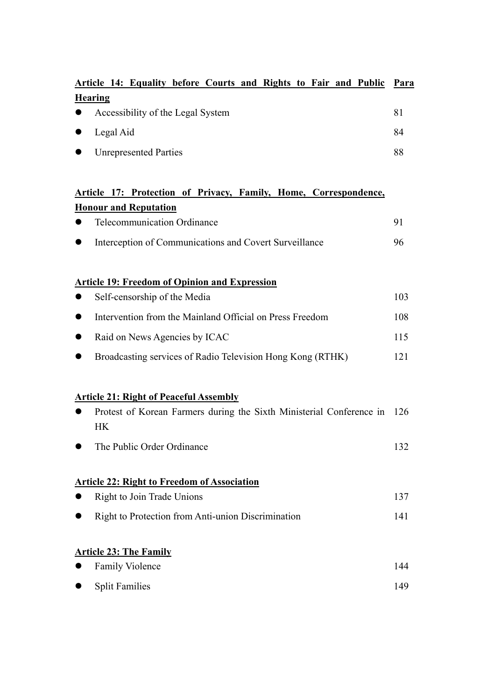|           | Article 14: Equality before Courts and Rights to Fair and Public | - Para |
|-----------|------------------------------------------------------------------|--------|
|           | <b>Hearing</b>                                                   |        |
| $\bullet$ | Accessibility of the Legal System                                | 81     |
| $\bullet$ | Legal Aid                                                        | 84     |
| $\bullet$ | <b>Unrepresented Parties</b>                                     | 88     |

# **Article 17: Protection of Privacy, Family, Home, Correspondence, Honour and Reputation**

| $\bullet$ | <b>Telecommunication Ordinance</b>                     |     |
|-----------|--------------------------------------------------------|-----|
| $\bullet$ | Interception of Communications and Covert Surveillance | 96. |
|           |                                                        |     |

# **Article 19: Freedom of Opinion and Expression**

| $\bullet$ | Self-censorship of the Media                               | 103. |
|-----------|------------------------------------------------------------|------|
| $\bullet$ | Intervention from the Mainland Official on Press Freedom   | 108. |
|           | • Raid on News Agencies by ICAC                            | 115. |
| $\bullet$ | Broadcasting services of Radio Television Hong Kong (RTHK) |      |

# **Article 21: Right of Peaceful Assembly**

| Protest of Korean Farmers during the Sixth Ministerial Conference in 126<br><b>HK</b> |     |
|---------------------------------------------------------------------------------------|-----|
| The Public Order Ordinance                                                            | 132 |
| <b>Article 22: Right to Freedom of Association</b>                                    |     |
| Right to Join Trade Unions                                                            | 137 |
| Right to Protection from Anti-union Discrimination                                    | 141 |
| <b>Article 23: The Family</b>                                                         |     |
| <b>Family Violence</b>                                                                | 144 |

• Split Families 149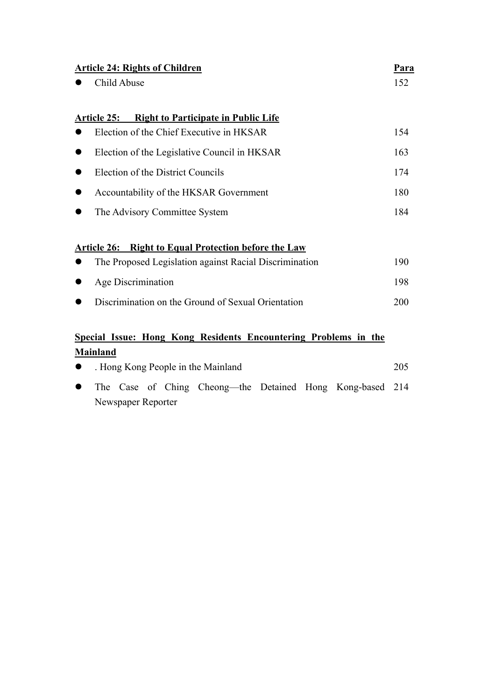| <b>Article 24: Rights of Children</b>                                 | <u>Para</u> |
|-----------------------------------------------------------------------|-------------|
| Child Abuse                                                           | 152         |
| <b>Right to Participate in Public Life</b><br><b>Article 25:</b>      |             |
| Election of the Chief Executive in HKSAR                              | 154         |
| Election of the Legislative Council in HKSAR<br>$\bullet$             | 163         |
| Election of the District Councils<br>D                                | 174         |
| Accountability of the HKSAR Government<br>$\bullet$                   | 180         |
| The Advisory Committee System                                         | 184         |
|                                                                       |             |
| <b>Right to Equal Protection before the Law</b><br><b>Article 26:</b> |             |
| The Proposed Legislation against Racial Discrimination                | 190         |
| <b>Age Discrimination</b>                                             | 198         |
| Discrimination on the Ground of Sexual Orientation                    | 200         |
|                                                                       |             |
| Special Issue: Hong Kong Residents Encountering Problems in the       |             |
| <b>Mainland</b>                                                       |             |
| . Hong Kong People in the Mainland                                    | 205         |
| Case of Ching Cheong—the Detained Hong<br>The<br>Kong-based           | 214         |

Newspaper Reporter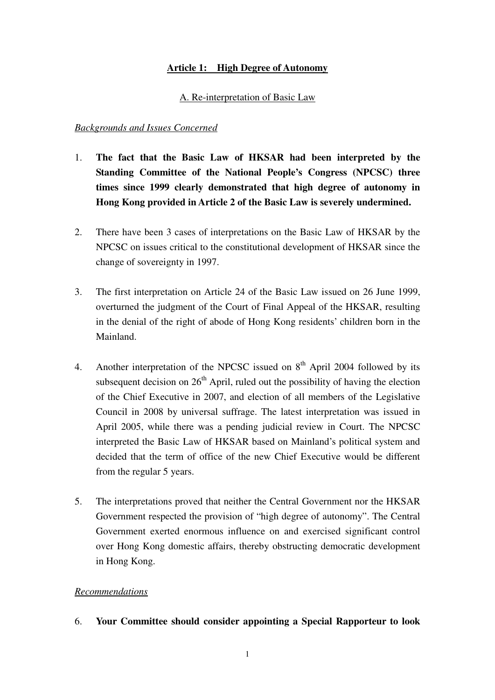# **Article 1: High Degree of Autonomy**

A. Re-interpretation of Basic Law

# *Backgrounds and Issues Concerned*

- 1. **The fact that the Basic Law of HKSAR had been interpreted by the Standing Committee of the National People's Congress (NPCSC) three times since 1999 clearly demonstrated that high degree of autonomy in Hong Kong provided in Article 2 of the Basic Law is severely undermined.**
- 2. There have been 3 cases of interpretations on the Basic Law of HKSAR by the NPCSC on issues critical to the constitutional development of HKSAR since the change of sovereignty in 1997.
- 3. The first interpretation on Article 24 of the Basic Law issued on 26 June 1999, overturned the judgment of the Court of Final Appeal of the HKSAR, resulting in the denial of the right of abode of Hong Kong residents' children born in the Mainland.
- 4. Another interpretation of the NPCSC issued on  $8<sup>th</sup>$  April 2004 followed by its subsequent decision on  $26<sup>th</sup>$  April, ruled out the possibility of having the election of the Chief Executive in 2007, and election of all members of the Legislative Council in 2008 by universal suffrage. The latest interpretation was issued in April 2005, while there was a pending judicial review in Court. The NPCSC interpreted the Basic Law of HKSAR based on Mainland's political system and decided that the term of office of the new Chief Executive would be different from the regular 5 years.
- 5. The interpretations proved that neither the Central Government nor the HKSAR Government respected the provision of "high degree of autonomy". The Central Government exerted enormous influence on and exercised significant control over Hong Kong domestic affairs, thereby obstructing democratic development in Hong Kong.

# *Recommendations*

6. **Your Committee should consider appointing a Special Rapporteur to look**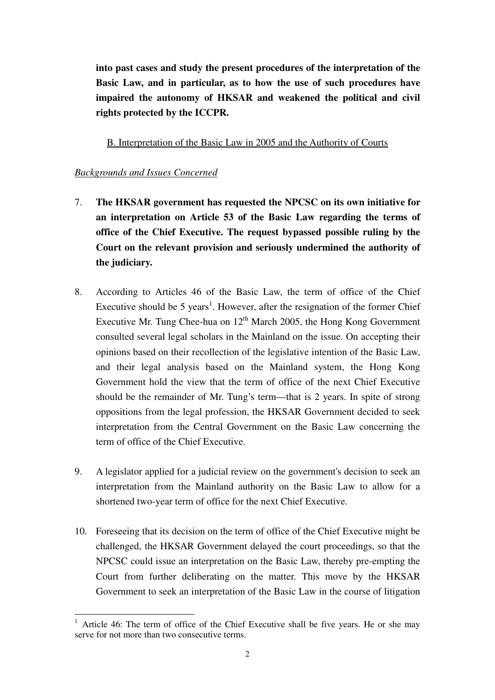**into past cases and study the present procedures of the interpretation of the Basic Law, and in particular, as to how the use of such procedures have impaired the autonomy of HKSAR and weakened the political and civil rights protected by the ICCPR.** 

B. Interpretation of the Basic Law in 2005 and the Authority of Courts

# *Backgrounds and Issues Concerned*

 $\overline{a}$ 

- 7. **The HKSAR government has requested the NPCSC on its own initiative for an interpretation on Article 53 of the Basic Law regarding the terms of office of the Chief Executive. The request bypassed possible ruling by the Court on the relevant provision and seriously undermined the authority of the judiciary.**
- 8. According to Articles 46 of the Basic Law, the term of office of the Chief Executive should be 5 years<sup>1</sup>. However, after the resignation of the former Chief Executive Mr. Tung Chee-hua on  $12<sup>th</sup>$  March 2005, the Hong Kong Government consulted several legal scholars in the Mainland on the issue. On accepting their opinions based on their recollection of the legislative intention of the Basic Law, and their legal analysis based on the Mainland system, the Hong Kong Government hold the view that the term of office of the next Chief Executive should be the remainder of Mr. Tung's term—that is 2 years. In spite of strong oppositions from the legal profession, the HKSAR Government decided to seek interpretation from the Central Government on the Basic Law concerning the term of office of the Chief Executive.
- 9. A legislator applied for a judicial review on the government's decision to seek an interpretation from the Mainland authority on the Basic Law to allow for a shortened two-year term of office for the next Chief Executive.
- 10. Foreseeing that its decision on the term of office of the Chief Executive might be challenged, the HKSAR Government delayed the court proceedings, so that the NPCSC could issue an interpretation on the Basic Law, thereby pre-empting the Court from further deliberating on the matter. This move by the HKSAR Government to seek an interpretation of the Basic Law in the course of litigation

<sup>1</sup> Article 46: The term of office of the Chief Executive shall be five years. He or she may serve for not more than two consecutive terms.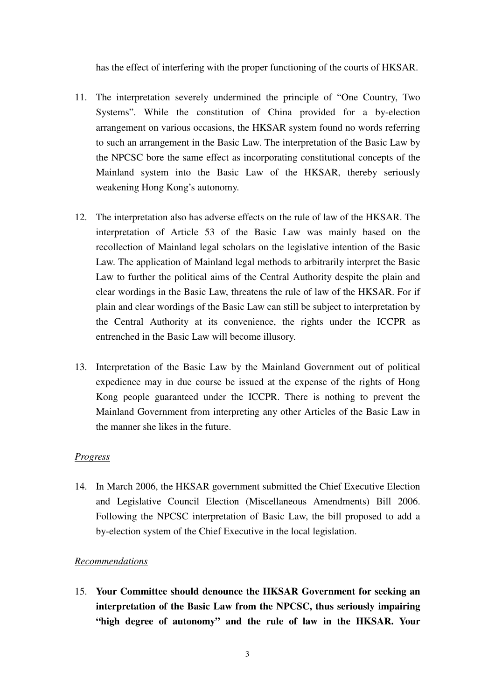has the effect of interfering with the proper functioning of the courts of HKSAR.

- 11. The interpretation severely undermined the principle of "One Country, Two Systems". While the constitution of China provided for a by-election arrangement on various occasions, the HKSAR system found no words referring to such an arrangement in the Basic Law. The interpretation of the Basic Law by the NPCSC bore the same effect as incorporating constitutional concepts of the Mainland system into the Basic Law of the HKSAR, thereby seriously weakening Hong Kong's autonomy.
- 12. The interpretation also has adverse effects on the rule of law of the HKSAR. The interpretation of Article 53 of the Basic Law was mainly based on the recollection of Mainland legal scholars on the legislative intention of the Basic Law. The application of Mainland legal methods to arbitrarily interpret the Basic Law to further the political aims of the Central Authority despite the plain and clear wordings in the Basic Law, threatens the rule of law of the HKSAR. For if plain and clear wordings of the Basic Law can still be subject to interpretation by the Central Authority at its convenience, the rights under the ICCPR as entrenched in the Basic Law will become illusory.
- 13. Interpretation of the Basic Law by the Mainland Government out of political expedience may in due course be issued at the expense of the rights of Hong Kong people guaranteed under the ICCPR. There is nothing to prevent the Mainland Government from interpreting any other Articles of the Basic Law in the manner she likes in the future.

# *Progress*

14. In March 2006, the HKSAR government submitted the Chief Executive Election and Legislative Council Election (Miscellaneous Amendments) Bill 2006. Following the NPCSC interpretation of Basic Law, the bill proposed to add a by-election system of the Chief Executive in the local legislation.

# *Recommendations*

15. **Your Committee should denounce the HKSAR Government for seeking an interpretation of the Basic Law from the NPCSC, thus seriously impairing "high degree of autonomy" and the rule of law in the HKSAR. Your**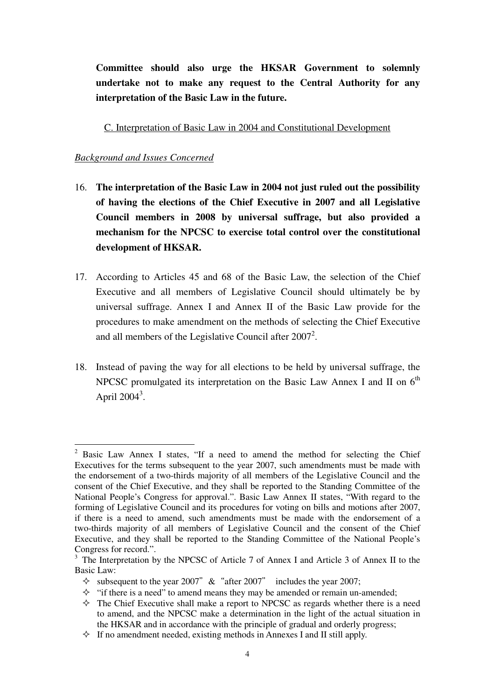**Committee should also urge the HKSAR Government to solemnly undertake not to make any request to the Central Authority for any interpretation of the Basic Law in the future.** 

C. Interpretation of Basic Law in 2004 and Constitutional Development

- 16. **The interpretation of the Basic Law in 2004 not just ruled out the possibility of having the elections of the Chief Executive in 2007 and all Legislative Council members in 2008 by universal suffrage, but also provided a mechanism for the NPCSC to exercise total control over the constitutional development of HKSAR.**
- 17. According to Articles 45 and 68 of the Basic Law, the selection of the Chief Executive and all members of Legislative Council should ultimately be by universal suffrage. Annex I and Annex II of the Basic Law provide for the procedures to make amendment on the methods of selecting the Chief Executive and all members of the Legislative Council after  $2007^2$ .
- 18. Instead of paving the way for all elections to be held by universal suffrage, the NPCSC promulgated its interpretation on the Basic Law Annex I and II on  $6<sup>th</sup>$ April  $2004^3$ .

 $\overline{a}$ <sup>2</sup> Basic Law Annex I states, "If a need to amend the method for selecting the Chief Executives for the terms subsequent to the year 2007, such amendments must be made with the endorsement of a two-thirds majority of all members of the Legislative Council and the consent of the Chief Executive, and they shall be reported to the Standing Committee of the National People's Congress for approval.". Basic Law Annex II states, "With regard to the forming of Legislative Council and its procedures for voting on bills and motions after 2007, if there is a need to amend, such amendments must be made with the endorsement of a two-thirds majority of all members of Legislative Council and the consent of the Chief Executive, and they shall be reported to the Standing Committee of the National People's Congress for record.".

<sup>&</sup>lt;sup>3</sup> The Interpretation by the NPCSC of Article 7 of Annex I and Article 3 of Annex II to the Basic Law:

 $\Diamond$  subsequent to the year 2007" & "after 2007" includes the year 2007;

 $\Diamond$  "if there is a need" to amend means they may be amended or remain un-amended;

 $\Diamond$  The Chief Executive shall make a report to NPCSC as regards whether there is a need to amend, and the NPCSC make a determination in the light of the actual situation in the HKSAR and in accordance with the principle of gradual and orderly progress;

 $\Diamond$  If no amendment needed, existing methods in Annexes I and II still apply.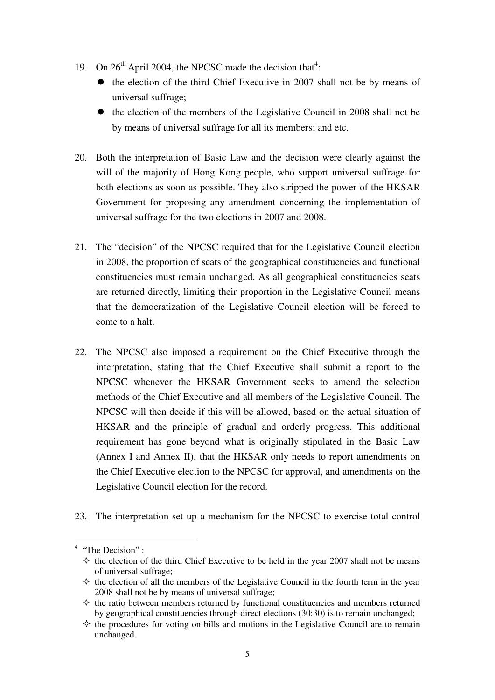- 19. On  $26<sup>th</sup>$  April 2004, the NPCSC made the decision that<sup>4</sup>:
	- the election of the third Chief Executive in 2007 shall not be by means of universal suffrage;
	- the election of the members of the Legislative Council in 2008 shall not be by means of universal suffrage for all its members; and etc.
- 20. Both the interpretation of Basic Law and the decision were clearly against the will of the majority of Hong Kong people, who support universal suffrage for both elections as soon as possible. They also stripped the power of the HKSAR Government for proposing any amendment concerning the implementation of universal suffrage for the two elections in 2007 and 2008.
- 21. The "decision" of the NPCSC required that for the Legislative Council election in 2008, the proportion of seats of the geographical constituencies and functional constituencies must remain unchanged. As all geographical constituencies seats are returned directly, limiting their proportion in the Legislative Council means that the democratization of the Legislative Council election will be forced to come to a halt.
- 22. The NPCSC also imposed a requirement on the Chief Executive through the interpretation, stating that the Chief Executive shall submit a report to the NPCSC whenever the HKSAR Government seeks to amend the selection methods of the Chief Executive and all members of the Legislative Council. The NPCSC will then decide if this will be allowed, based on the actual situation of HKSAR and the principle of gradual and orderly progress. This additional requirement has gone beyond what is originally stipulated in the Basic Law (Annex I and Annex II), that the HKSAR only needs to report amendments on the Chief Executive election to the NPCSC for approval, and amendments on the Legislative Council election for the record.
- 23. The interpretation set up a mechanism for the NPCSC to exercise total control

 $4$  "The Decision":

 $\Diamond$  the election of the third Chief Executive to be held in the year 2007 shall not be means of universal suffrage;

 $\Diamond$  the election of all the members of the Legislative Council in the fourth term in the year 2008 shall not be by means of universal suffrage;

 $\Diamond$  the ratio between members returned by functional constituencies and members returned by geographical constituencies through direct elections (30:30) is to remain unchanged;

 $\Diamond$  the procedures for voting on bills and motions in the Legislative Council are to remain unchanged.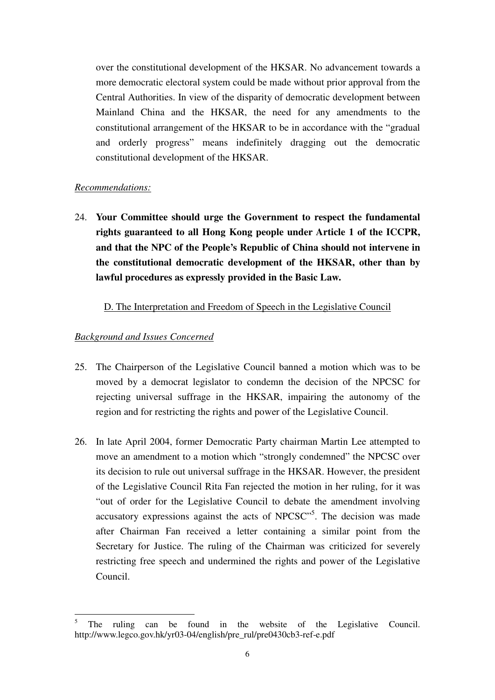over the constitutional development of the HKSAR. No advancement towards a more democratic electoral system could be made without prior approval from the Central Authorities. In view of the disparity of democratic development between Mainland China and the HKSAR, the need for any amendments to the constitutional arrangement of the HKSAR to be in accordance with the "gradual and orderly progress" means indefinitely dragging out the democratic constitutional development of the HKSAR.

# *Recommendations:*

24. **Your Committee should urge the Government to respect the fundamental rights guaranteed to all Hong Kong people under Article 1 of the ICCPR, and that the NPC of the People's Republic of China should not intervene in the constitutional democratic development of the HKSAR, other than by lawful procedures as expressly provided in the Basic Law.** 

# D. The Interpretation and Freedom of Speech in the Legislative Council

- 25. The Chairperson of the Legislative Council banned a motion which was to be moved by a democrat legislator to condemn the decision of the NPCSC for rejecting universal suffrage in the HKSAR, impairing the autonomy of the region and for restricting the rights and power of the Legislative Council.
- 26. In late April 2004, former Democratic Party chairman Martin Lee attempted to move an amendment to a motion which "strongly condemned" the NPCSC over its decision to rule out universal suffrage in the HKSAR. However, the president of the Legislative Council Rita Fan rejected the motion in her ruling, for it was "out of order for the Legislative Council to debate the amendment involving accusatory expressions against the acts of NPCSC"<sup>5</sup>. The decision was made after Chairman Fan received a letter containing a similar point from the Secretary for Justice. The ruling of the Chairman was criticized for severely restricting free speech and undermined the rights and power of the Legislative Council.

 $\overline{a}$ 5 The ruling can be found in the website of the Legislative Council. http://www.legco.gov.hk/yr03-04/english/pre\_rul/pre0430cb3-ref-e.pdf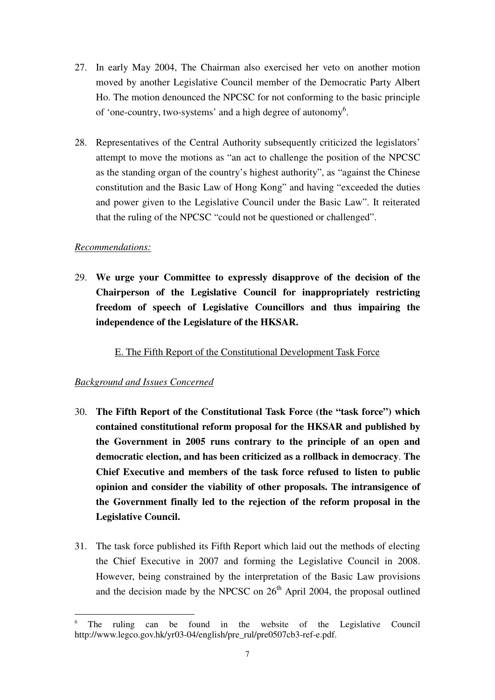- 27. In early May 2004, The Chairman also exercised her veto on another motion moved by another Legislative Council member of the Democratic Party Albert Ho. The motion denounced the NPCSC for not conforming to the basic principle of 'one-country, two-systems' and a high degree of autonomy<sup>6</sup>.
- 28. Representatives of the Central Authority subsequently criticized the legislators' attempt to move the motions as "an act to challenge the position of the NPCSC as the standing organ of the country's highest authority", as "against the Chinese constitution and the Basic Law of Hong Kong" and having "exceeded the duties and power given to the Legislative Council under the Basic Law". It reiterated that the ruling of the NPCSC "could not be questioned or challenged".

# *Recommendations:*

29. **We urge your Committee to expressly disapprove of the decision of the Chairperson of the Legislative Council for inappropriately restricting freedom of speech of Legislative Councillors and thus impairing the independence of the Legislature of the HKSAR.** 

E. The Fifth Report of the Constitutional Development Task Force

- 30. **The Fifth Report of the Constitutional Task Force (the "task force") which contained constitutional reform proposal for the HKSAR and published by the Government in 2005 runs contrary to the principle of an open and democratic election, and has been criticized as a rollback in democracy**. **The Chief Executive and members of the task force refused to listen to public opinion and consider the viability of other proposals. The intransigence of the Government finally led to the rejection of the reform proposal in the Legislative Council.**
- 31. The task force published its Fifth Report which laid out the methods of electing the Chief Executive in 2007 and forming the Legislative Council in 2008. However, being constrained by the interpretation of the Basic Law provisions and the decision made by the NPCSC on  $26<sup>th</sup>$  April 2004, the proposal outlined

<sup>6</sup> <sup>6</sup> The ruling can be found in the website of the Legislative Council http://www.legco.gov.hk/yr03-04/english/pre\_rul/pre0507cb3-ref-e.pdf.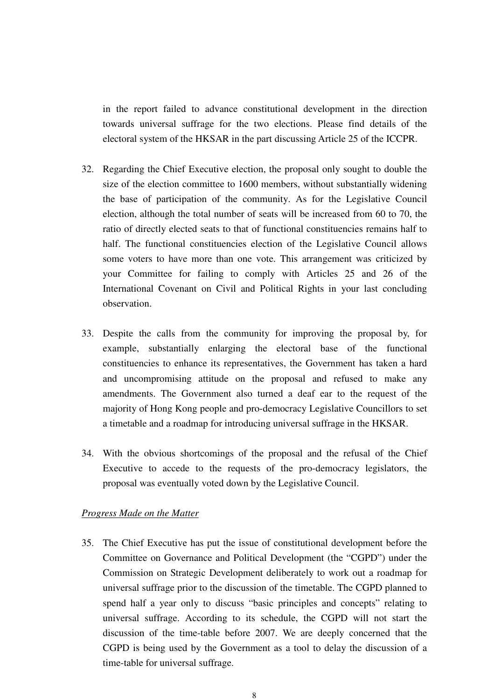in the report failed to advance constitutional development in the direction towards universal suffrage for the two elections. Please find details of the electoral system of the HKSAR in the part discussing Article 25 of the ICCPR.

- 32. Regarding the Chief Executive election, the proposal only sought to double the size of the election committee to 1600 members, without substantially widening the base of participation of the community. As for the Legislative Council election, although the total number of seats will be increased from 60 to 70, the ratio of directly elected seats to that of functional constituencies remains half to half. The functional constituencies election of the Legislative Council allows some voters to have more than one vote. This arrangement was criticized by your Committee for failing to comply with Articles 25 and 26 of the International Covenant on Civil and Political Rights in your last concluding observation.
- 33. Despite the calls from the community for improving the proposal by, for example, substantially enlarging the electoral base of the functional constituencies to enhance its representatives, the Government has taken a hard and uncompromising attitude on the proposal and refused to make any amendments. The Government also turned a deaf ear to the request of the majority of Hong Kong people and pro-democracy Legislative Councillors to set a timetable and a roadmap for introducing universal suffrage in the HKSAR.
- 34. With the obvious shortcomings of the proposal and the refusal of the Chief Executive to accede to the requests of the pro-democracy legislators, the proposal was eventually voted down by the Legislative Council.

#### *Progress Made on the Matter*

35. The Chief Executive has put the issue of constitutional development before the Committee on Governance and Political Development (the "CGPD") under the Commission on Strategic Development deliberately to work out a roadmap for universal suffrage prior to the discussion of the timetable. The CGPD planned to spend half a year only to discuss "basic principles and concepts" relating to universal suffrage. According to its schedule, the CGPD will not start the discussion of the time-table before 2007. We are deeply concerned that the CGPD is being used by the Government as a tool to delay the discussion of a time-table for universal suffrage.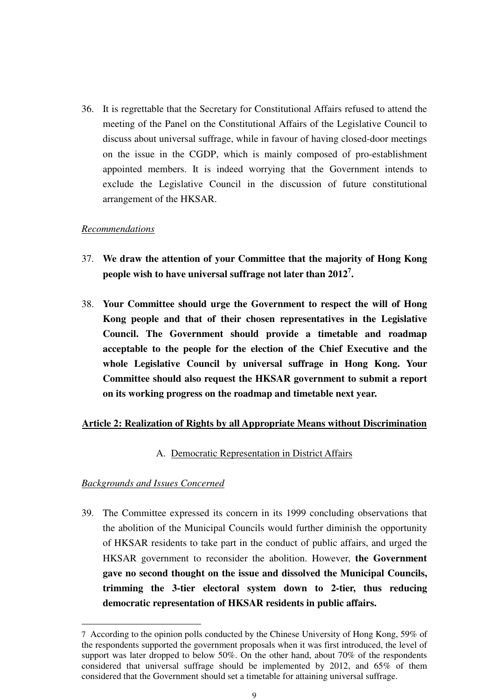36. It is regrettable that the Secretary for Constitutional Affairs refused to attend the meeting of the Panel on the Constitutional Affairs of the Legislative Council to discuss about universal suffrage, while in favour of having closed-door meetings on the issue in the CGDP, which is mainly composed of pro-establishment appointed members. It is indeed worrying that the Government intends to exclude the Legislative Council in the discussion of future constitutional arrangement of the HKSAR.

# *Recommendations*

- 37. **We draw the attention of your Committee that the majority of Hong Kong people wish to have universal suffrage not later than 2012<sup>7</sup> .**
- 38. **Your Committee should urge the Government to respect the will of Hong Kong people and that of their chosen representatives in the Legislative Council. The Government should provide a timetable and roadmap acceptable to the people for the election of the Chief Executive and the whole Legislative Council by universal suffrage in Hong Kong. Your Committee should also request the HKSAR government to submit a report on its working progress on the roadmap and timetable next year.**

#### **Article 2: Realization of Rights by all Appropriate Means without Discrimination**

# A. Democratic Representation in District Affairs

#### *Backgrounds and Issues Concerned*

 $\overline{a}$ 

39. The Committee expressed its concern in its 1999 concluding observations that the abolition of the Municipal Councils would further diminish the opportunity of HKSAR residents to take part in the conduct of public affairs, and urged the HKSAR government to reconsider the abolition. However, **the Government gave no second thought on the issue and dissolved the Municipal Councils, trimming the 3-tier electoral system down to 2-tier, thus reducing democratic representation of HKSAR residents in public affairs.**

<sup>7</sup> According to the opinion polls conducted by the Chinese University of Hong Kong, 59% of the respondents supported the government proposals when it was first introduced, the level of support was later dropped to below 50%. On the other hand, about 70% of the respondents considered that universal suffrage should be implemented by 2012, and 65% of them considered that the Government should set a timetable for attaining universal suffrage.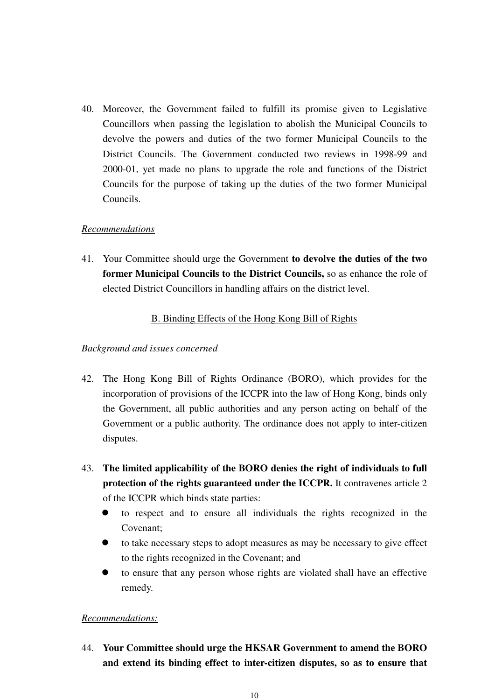40. Moreover, the Government failed to fulfill its promise given to Legislative Councillors when passing the legislation to abolish the Municipal Councils to devolve the powers and duties of the two former Municipal Councils to the District Councils. The Government conducted two reviews in 1998-99 and 2000-01, yet made no plans to upgrade the role and functions of the District Councils for the purpose of taking up the duties of the two former Municipal Councils.

# *Recommendations*

41. Your Committee should urge the Government **to devolve the duties of the two former Municipal Councils to the District Councils,** so as enhance the role of elected District Councillors in handling affairs on the district level.

# B. Binding Effects of the Hong Kong Bill of Rights

# *Background and issues concerned*

- 42. The Hong Kong Bill of Rights Ordinance (BORO), which provides for the incorporation of provisions of the ICCPR into the law of Hong Kong, binds only the Government, all public authorities and any person acting on behalf of the Government or a public authority. The ordinance does not apply to inter-citizen disputes.
- 43. **The limited applicability of the BORO denies the right of individuals to full protection of the rights guaranteed under the ICCPR.** It contravenes article 2 of the ICCPR which binds state parties:
	- $\bullet$  to respect and to ensure all individuals the rights recognized in the Covenant;
	- $\bullet$  to take necessary steps to adopt measures as may be necessary to give effect to the rights recognized in the Covenant; and
	- $\bullet$  to ensure that any person whose rights are violated shall have an effective remedy.

# *Recommendations:*

44. **Your Committee should urge the HKSAR Government to amend the BORO and extend its binding effect to inter-citizen disputes, so as to ensure that**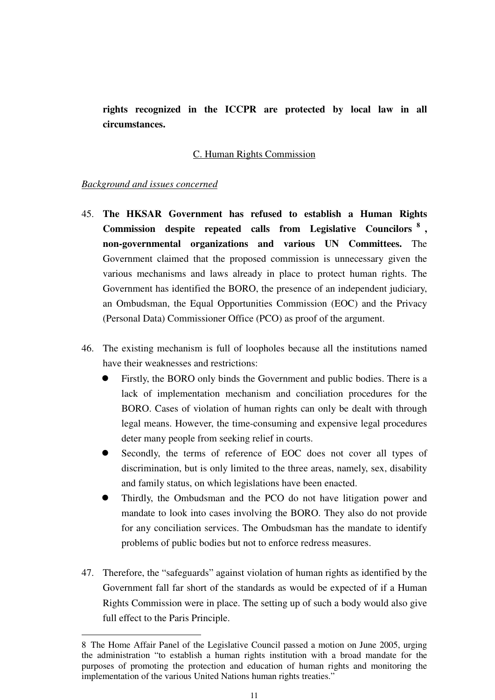**rights recognized in the ICCPR are protected by local law in all circumstances.** 

# C. Human Rights Commission

# *Background and issues concerned*

 $\overline{a}$ 

- 45. **The HKSAR Government has refused to establish a Human Rights Commission despite repeated calls from Legislative Councilors <sup>8</sup> , non-governmental organizations and various UN Committees.** The Government claimed that the proposed commission is unnecessary given the various mechanisms and laws already in place to protect human rights. The Government has identified the BORO, the presence of an independent judiciary, an Ombudsman, the Equal Opportunities Commission (EOC) and the Privacy (Personal Data) Commissioner Office (PCO) as proof of the argument.
- 46. The existing mechanism is full of loopholes because all the institutions named have their weaknesses and restrictions:
	- $\bullet$  Firstly, the BORO only binds the Government and public bodies. There is a lack of implementation mechanism and conciliation procedures for the BORO. Cases of violation of human rights can only be dealt with through legal means. However, the time-consuming and expensive legal procedures deter many people from seeking relief in courts.
	- $\bullet$  Secondly, the terms of reference of EOC does not cover all types of discrimination, but is only limited to the three areas, namely, sex, disability and family status, on which legislations have been enacted.
	- $\bullet$  Thirdly, the Ombudsman and the PCO do not have litigation power and mandate to look into cases involving the BORO. They also do not provide for any conciliation services. The Ombudsman has the mandate to identify problems of public bodies but not to enforce redress measures.
- 47. Therefore, the "safeguards" against violation of human rights as identified by the Government fall far short of the standards as would be expected of if a Human Rights Commission were in place. The setting up of such a body would also give full effect to the Paris Principle.

<sup>8</sup> The Home Affair Panel of the Legislative Council passed a motion on June 2005, urging the administration "to establish a human rights institution with a broad mandate for the purposes of promoting the protection and education of human rights and monitoring the implementation of the various United Nations human rights treaties."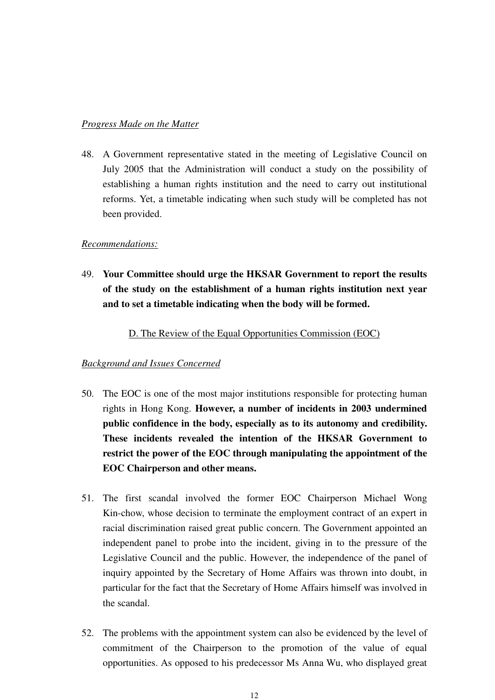# *Progress Made on the Matter*

48. A Government representative stated in the meeting of Legislative Council on July 2005 that the Administration will conduct a study on the possibility of establishing a human rights institution and the need to carry out institutional reforms. Yet, a timetable indicating when such study will be completed has not been provided.

# *Recommendations:*

49. **Your Committee should urge the HKSAR Government to report the results of the study on the establishment of a human rights institution next year and to set a timetable indicating when the body will be formed.** 

D. The Review of the Equal Opportunities Commission (EOC)

- 50. The EOC is one of the most major institutions responsible for protecting human rights in Hong Kong. **However, a number of incidents in 2003 undermined public confidence in the body, especially as to its autonomy and credibility. These incidents revealed the intention of the HKSAR Government to restrict the power of the EOC through manipulating the appointment of the EOC Chairperson and other means.**
- 51. The first scandal involved the former EOC Chairperson Michael Wong Kin-chow, whose decision to terminate the employment contract of an expert in racial discrimination raised great public concern. The Government appointed an independent panel to probe into the incident, giving in to the pressure of the Legislative Council and the public. However, the independence of the panel of inquiry appointed by the Secretary of Home Affairs was thrown into doubt, in particular for the fact that the Secretary of Home Affairs himself was involved in the scandal.
- 52. The problems with the appointment system can also be evidenced by the level of commitment of the Chairperson to the promotion of the value of equal opportunities. As opposed to his predecessor Ms Anna Wu, who displayed great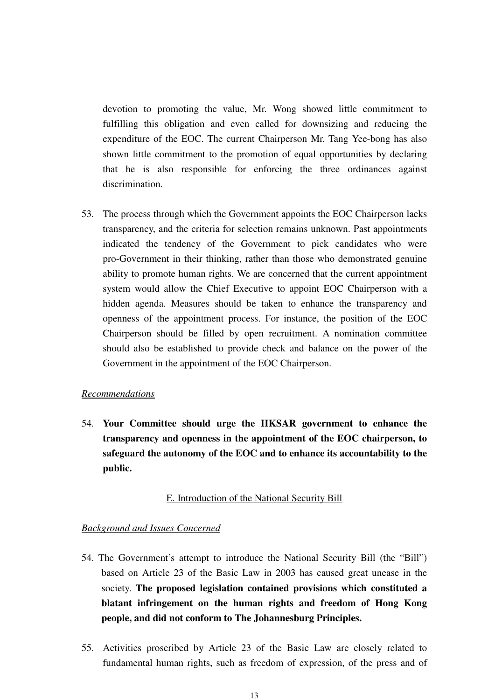devotion to promoting the value, Mr. Wong showed little commitment to fulfilling this obligation and even called for downsizing and reducing the expenditure of the EOC. The current Chairperson Mr. Tang Yee-bong has also shown little commitment to the promotion of equal opportunities by declaring that he is also responsible for enforcing the three ordinances against discrimination.

53. The process through which the Government appoints the EOC Chairperson lacks transparency, and the criteria for selection remains unknown. Past appointments indicated the tendency of the Government to pick candidates who were pro-Government in their thinking, rather than those who demonstrated genuine ability to promote human rights. We are concerned that the current appointment system would allow the Chief Executive to appoint EOC Chairperson with a hidden agenda. Measures should be taken to enhance the transparency and openness of the appointment process. For instance, the position of the EOC Chairperson should be filled by open recruitment. A nomination committee should also be established to provide check and balance on the power of the Government in the appointment of the EOC Chairperson.

# *Recommendations*

54. **Your Committee should urge the HKSAR government to enhance the transparency and openness in the appointment of the EOC chairperson, to safeguard the autonomy of the EOC and to enhance its accountability to the public.** 

#### E. Introduction of the National Security Bill

- 54. The Government's attempt to introduce the National Security Bill (the "Bill") based on Article 23 of the Basic Law in 2003 has caused great unease in the society. **The proposed legislation contained provisions which constituted a blatant infringement on the human rights and freedom of Hong Kong people, and did not conform to The Johannesburg Principles.**
- 55. Activities proscribed by Article 23 of the Basic Law are closely related to fundamental human rights, such as freedom of expression, of the press and of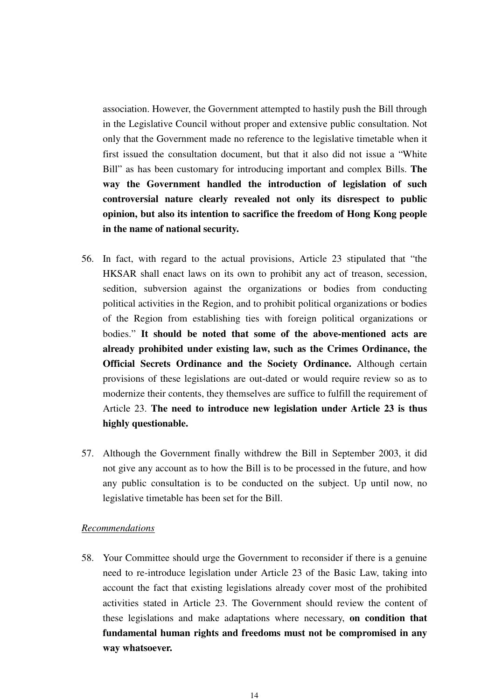association. However, the Government attempted to hastily push the Bill through in the Legislative Council without proper and extensive public consultation. Not only that the Government made no reference to the legislative timetable when it first issued the consultation document, but that it also did not issue a "White Bill" as has been customary for introducing important and complex Bills. **The way the Government handled the introduction of legislation of such controversial nature clearly revealed not only its disrespect to public opinion, but also its intention to sacrifice the freedom of Hong Kong people in the name of national security.** 

- 56. In fact, with regard to the actual provisions, Article 23 stipulated that "the HKSAR shall enact laws on its own to prohibit any act of treason, secession, sedition, subversion against the organizations or bodies from conducting political activities in the Region, and to prohibit political organizations or bodies of the Region from establishing ties with foreign political organizations or bodies." **It should be noted that some of the above-mentioned acts are already prohibited under existing law, such as the Crimes Ordinance, the Official Secrets Ordinance and the Society Ordinance.** Although certain provisions of these legislations are out-dated or would require review so as to modernize their contents, they themselves are suffice to fulfill the requirement of Article 23. **The need to introduce new legislation under Article 23 is thus highly questionable.**
- 57. Although the Government finally withdrew the Bill in September 2003, it did not give any account as to how the Bill is to be processed in the future, and how any public consultation is to be conducted on the subject. Up until now, no legislative timetable has been set for the Bill.

#### *Recommendations*

58. Your Committee should urge the Government to reconsider if there is a genuine need to re-introduce legislation under Article 23 of the Basic Law, taking into account the fact that existing legislations already cover most of the prohibited activities stated in Article 23. The Government should review the content of these legislations and make adaptations where necessary, **on condition that fundamental human rights and freedoms must not be compromised in any way whatsoever.**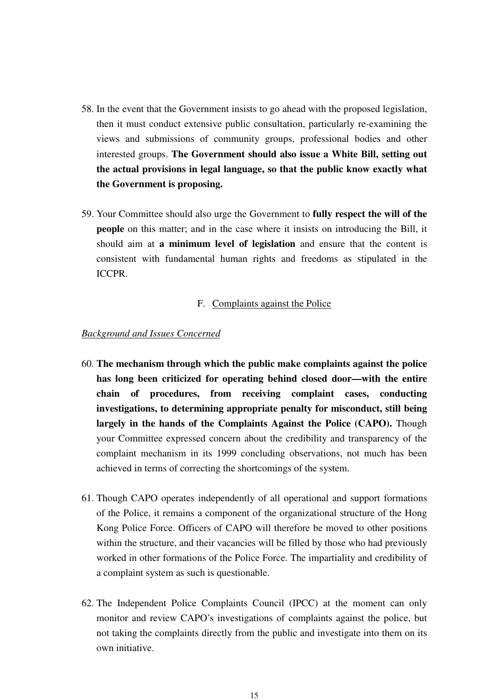- 58. In the event that the Government insists to go ahead with the proposed legislation, then it must conduct extensive public consultation, particularly re-examining the views and submissions of community groups, professional bodies and other interested groups. **The Government should also issue a White Bill, setting out the actual provisions in legal language, so that the public know exactly what the Government is proposing.**
- 59. Your Committee should also urge the Government to **fully respect the will of the people** on this matter; and in the case where it insists on introducing the Bill, it should aim at **a minimum level of legislation** and ensure that the content is consistent with fundamental human rights and freedoms as stipulated in the ICCPR.

#### F. Complaints against the Police

- 60. **The mechanism through which the public make complaints against the police has long been criticized for operating behind closed door—with the entire chain of procedures, from receiving complaint cases, conducting investigations, to determining appropriate penalty for misconduct, still being largely in the hands of the Complaints Against the Police (CAPO).** Though your Committee expressed concern about the credibility and transparency of the complaint mechanism in its 1999 concluding observations, not much has been achieved in terms of correcting the shortcomings of the system.
- 61. Though CAPO operates independently of all operational and support formations of the Police, it remains a component of the organizational structure of the Hong Kong Police Force. Officers of CAPO will therefore be moved to other positions within the structure, and their vacancies will be filled by those who had previously worked in other formations of the Police Force. The impartiality and credibility of a complaint system as such is questionable.
- 62. The Independent Police Complaints Council (IPCC) at the moment can only monitor and review CAPO's investigations of complaints against the police, but not taking the complaints directly from the public and investigate into them on its own initiative.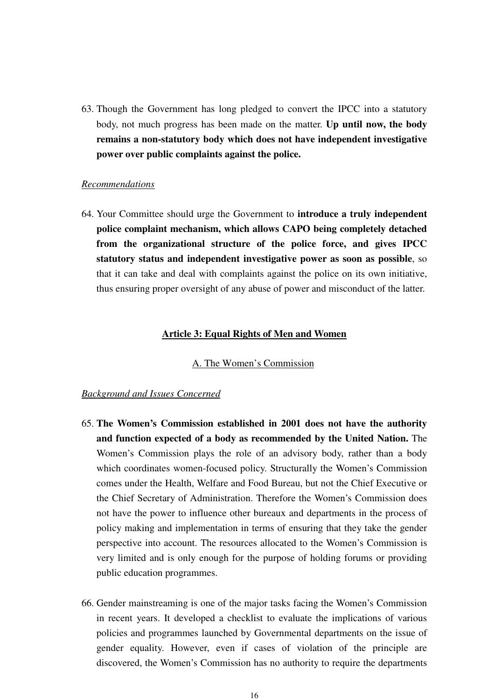63. Though the Government has long pledged to convert the IPCC into a statutory body, not much progress has been made on the matter. **Up until now, the body remains a non-statutory body which does not have independent investigative power over public complaints against the police.**

#### *Recommendations*

64. Your Committee should urge the Government to **introduce a truly independent police complaint mechanism, which allows CAPO being completely detached from the organizational structure of the police force, and gives IPCC statutory status and independent investigative power as soon as possible**, so that it can take and deal with complaints against the police on its own initiative, thus ensuring proper oversight of any abuse of power and misconduct of the latter.

#### **Article 3: Equal Rights of Men and Women**

#### A. The Women's Commission

- 65. **The Women's Commission established in 2001 does not have the authority and function expected of a body as recommended by the United Nation.** The Women's Commission plays the role of an advisory body, rather than a body which coordinates women-focused policy. Structurally the Women's Commission comes under the Health, Welfare and Food Bureau, but not the Chief Executive or the Chief Secretary of Administration. Therefore the Women's Commission does not have the power to influence other bureaux and departments in the process of policy making and implementation in terms of ensuring that they take the gender perspective into account. The resources allocated to the Women's Commission is very limited and is only enough for the purpose of holding forums or providing public education programmes.
- 66. Gender mainstreaming is one of the major tasks facing the Women's Commission in recent years. It developed a checklist to evaluate the implications of various policies and programmes launched by Governmental departments on the issue of gender equality. However, even if cases of violation of the principle are discovered, the Women's Commission has no authority to require the departments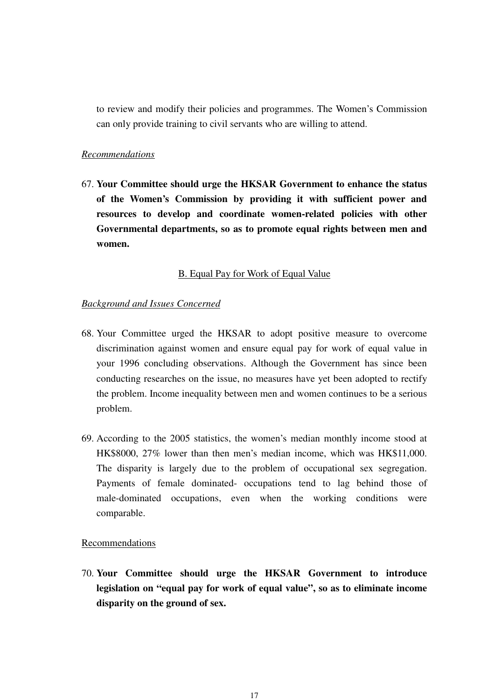to review and modify their policies and programmes. The Women's Commission can only provide training to civil servants who are willing to attend.

#### *Recommendations*

67. **Your Committee should urge the HKSAR Government to enhance the status of the Women's Commission by providing it with sufficient power and resources to develop and coordinate women-related policies with other Governmental departments, so as to promote equal rights between men and women.** 

# B. Equal Pay for Work of Equal Value

# *Background and Issues Concerned*

- 68. Your Committee urged the HKSAR to adopt positive measure to overcome discrimination against women and ensure equal pay for work of equal value in your 1996 concluding observations. Although the Government has since been conducting researches on the issue, no measures have yet been adopted to rectify the problem. Income inequality between men and women continues to be a serious problem.
- 69. According to the 2005 statistics, the women's median monthly income stood at HK\$8000, 27% lower than then men's median income, which was HK\$11,000. The disparity is largely due to the problem of occupational sex segregation. Payments of female dominated- occupations tend to lag behind those of male-dominated occupations, even when the working conditions were comparable.

#### Recommendations

70. **Your Committee should urge the HKSAR Government to introduce legislation on "equal pay for work of equal value", so as to eliminate income disparity on the ground of sex.**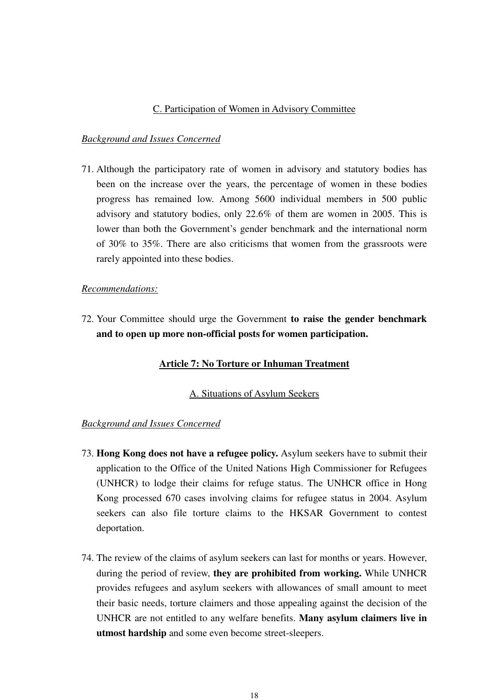# C. Participation of Women in Advisory Committee

### *Background and Issues Concerned*

71. Although the participatory rate of women in advisory and statutory bodies has been on the increase over the years, the percentage of women in these bodies progress has remained low. Among 5600 individual members in 500 public advisory and statutory bodies, only 22.6% of them are women in 2005. This is lower than both the Government's gender benchmark and the international norm of 30% to 35%. There are also criticisms that women from the grassroots were rarely appointed into these bodies.

#### *Recommendations:*

72. Your Committee should urge the Government **to raise the gender benchmark and to open up more non-official posts for women participation.**

# **Article 7: No Torture or Inhuman Treatment**

#### A. Situations of Asylum Seekers

- 73. **Hong Kong does not have a refugee policy.** Asylum seekers have to submit their application to the Office of the United Nations High Commissioner for Refugees (UNHCR) to lodge their claims for refuge status. The UNHCR office in Hong Kong processed 670 cases involving claims for refugee status in 2004. Asylum seekers can also file torture claims to the HKSAR Government to contest deportation.
- 74. The review of the claims of asylum seekers can last for months or years. However, during the period of review, **they are prohibited from working.** While UNHCR provides refugees and asylum seekers with allowances of small amount to meet their basic needs, torture claimers and those appealing against the decision of the UNHCR are not entitled to any welfare benefits. **Many asylum claimers live in utmost hardship** and some even become street-sleepers.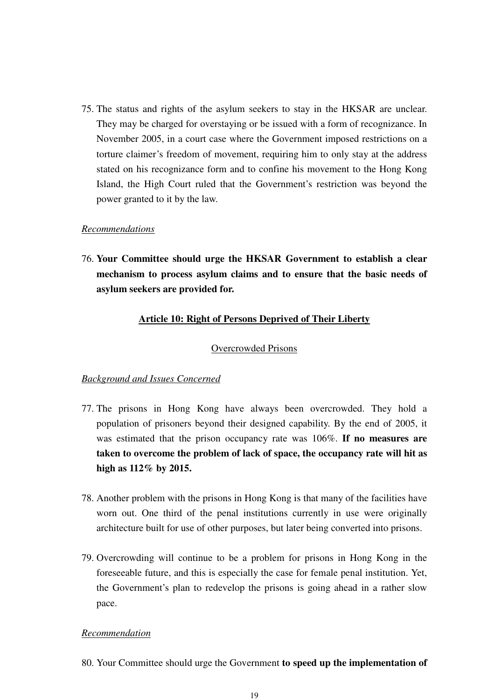75. The status and rights of the asylum seekers to stay in the HKSAR are unclear. They may be charged for overstaying or be issued with a form of recognizance. In November 2005, in a court case where the Government imposed restrictions on a torture claimer's freedom of movement, requiring him to only stay at the address stated on his recognizance form and to confine his movement to the Hong Kong Island, the High Court ruled that the Government's restriction was beyond the power granted to it by the law.

# *Recommendations*

76. **Your Committee should urge the HKSAR Government to establish a clear mechanism to process asylum claims and to ensure that the basic needs of asylum seekers are provided for.** 

# **Article 10: Right of Persons Deprived of Their Liberty**

#### Overcrowded Prisons

### *Background and Issues Concerned*

- 77. The prisons in Hong Kong have always been overcrowded. They hold a population of prisoners beyond their designed capability. By the end of 2005, it was estimated that the prison occupancy rate was 106%. **If no measures are taken to overcome the problem of lack of space, the occupancy rate will hit as high as 112% by 2015.**
- 78. Another problem with the prisons in Hong Kong is that many of the facilities have worn out. One third of the penal institutions currently in use were originally architecture built for use of other purposes, but later being converted into prisons.
- 79. Overcrowding will continue to be a problem for prisons in Hong Kong in the foreseeable future, and this is especially the case for female penal institution. Yet, the Government's plan to redevelop the prisons is going ahead in a rather slow pace.

# *Recommendation*

80. Your Committee should urge the Government **to speed up the implementation of**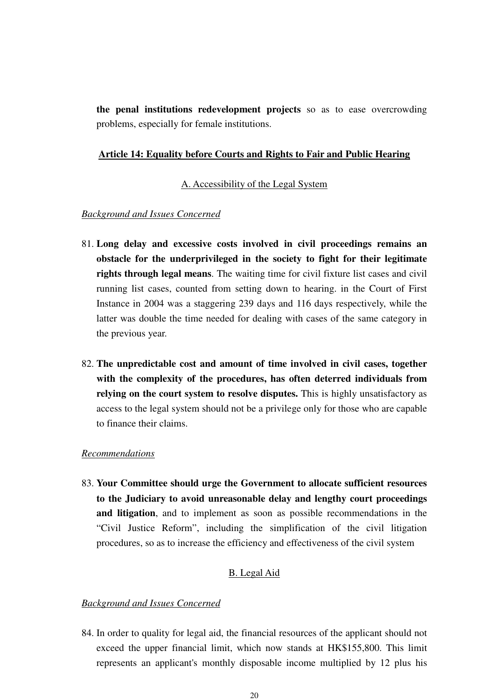**the penal institutions redevelopment projects** so as to ease overcrowding problems, especially for female institutions.

#### **Article 14: Equality before Courts and Rights to Fair and Public Hearing**

#### A. Accessibility of the Legal System

# *Background and Issues Concerned*

- 81. **Long delay and excessive costs involved in civil proceedings remains an obstacle for the underprivileged in the society to fight for their legitimate rights through legal means**. The waiting time for civil fixture list cases and civil running list cases, counted from setting down to hearing. in the Court of First Instance in 2004 was a staggering 239 days and 116 days respectively, while the latter was double the time needed for dealing with cases of the same category in the previous year.
- 82. **The unpredictable cost and amount of time involved in civil cases, together with the complexity of the procedures, has often deterred individuals from relying on the court system to resolve disputes.** This is highly unsatisfactory as access to the legal system should not be a privilege only for those who are capable to finance their claims.

# *Recommendations*

83. **Your Committee should urge the Government to allocate sufficient resources to the Judiciary to avoid unreasonable delay and lengthy court proceedings and litigation**, and to implement as soon as possible recommendations in the "Civil Justice Reform", including the simplification of the civil litigation procedures, so as to increase the efficiency and effectiveness of the civil system

# B. Legal Aid

#### *Background and Issues Concerned*

84. In order to quality for legal aid, the financial resources of the applicant should not exceed the upper financial limit, which now stands at HK\$155,800. This limit represents an applicant's monthly disposable income multiplied by 12 plus his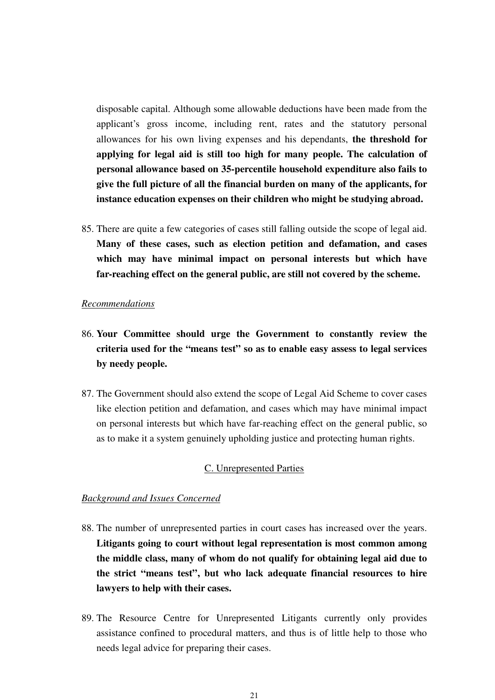disposable capital. Although some allowable deductions have been made from the applicant's gross income, including rent, rates and the statutory personal allowances for his own living expenses and his dependants, **the threshold for applying for legal aid is still too high for many people. The calculation of personal allowance based on 35-percentile household expenditure also fails to give the full picture of all the financial burden on many of the applicants, for instance education expenses on their children who might be studying abroad.** 

85. There are quite a few categories of cases still falling outside the scope of legal aid. **Many of these cases, such as election petition and defamation, and cases which may have minimal impact on personal interests but which have far-reaching effect on the general public, are still not covered by the scheme.**

#### *Recommendations*

- 86. **Your Committee should urge the Government to constantly review the criteria used for the "means test" so as to enable easy assess to legal services by needy people.**
- 87. The Government should also extend the scope of Legal Aid Scheme to cover cases like election petition and defamation, and cases which may have minimal impact on personal interests but which have far-reaching effect on the general public, so as to make it a system genuinely upholding justice and protecting human rights.

#### C. Unrepresented Parties

- 88. The number of unrepresented parties in court cases has increased over the years. **Litigants going to court without legal representation is most common among the middle class, many of whom do not qualify for obtaining legal aid due to the strict "means test", but who lack adequate financial resources to hire lawyers to help with their cases.**
- 89. The Resource Centre for Unrepresented Litigants currently only provides assistance confined to procedural matters, and thus is of little help to those who needs legal advice for preparing their cases.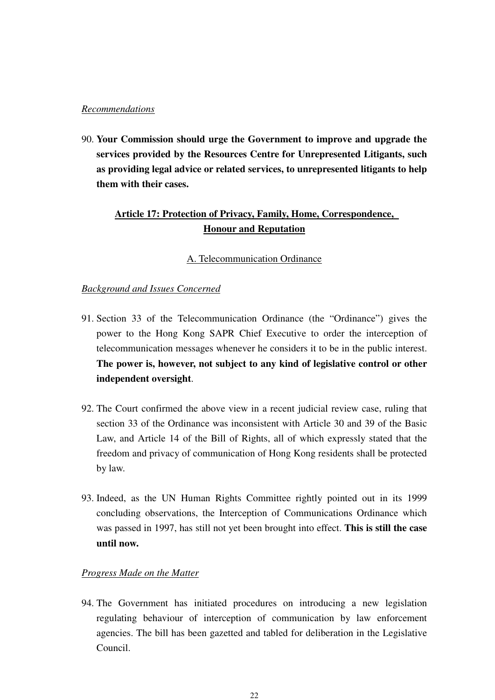# *Recommendations*

90. **Your Commission should urge the Government to improve and upgrade the services provided by the Resources Centre for Unrepresented Litigants, such as providing legal advice or related services, to unrepresented litigants to help them with their cases.** 

# **Article 17: Protection of Privacy, Family, Home, Correspondence, Honour and Reputation**

# A. Telecommunication Ordinance

# *Background and Issues Concerned*

- 91. Section 33 of the Telecommunication Ordinance (the "Ordinance") gives the power to the Hong Kong SAPR Chief Executive to order the interception of telecommunication messages whenever he considers it to be in the public interest. **The power is, however, not subject to any kind of legislative control or other independent oversight**.
- 92. The Court confirmed the above view in a recent judicial review case, ruling that section 33 of the Ordinance was inconsistent with Article 30 and 39 of the Basic Law, and Article 14 of the Bill of Rights, all of which expressly stated that the freedom and privacy of communication of Hong Kong residents shall be protected by law.
- 93. Indeed, as the UN Human Rights Committee rightly pointed out in its 1999 concluding observations, the Interception of Communications Ordinance which was passed in 1997, has still not yet been brought into effect. **This is still the case until now.**

# *Progress Made on the Matter*

94. The Government has initiated procedures on introducing a new legislation regulating behaviour of interception of communication by law enforcement agencies. The bill has been gazetted and tabled for deliberation in the Legislative Council.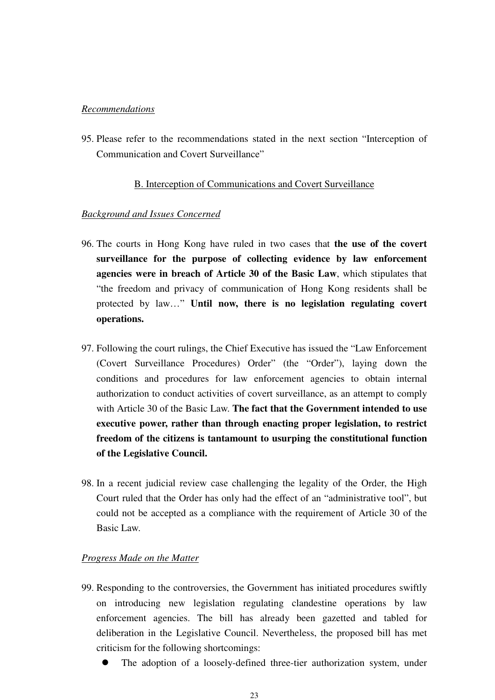# *Recommendations*

95. Please refer to the recommendations stated in the next section "Interception of Communication and Covert Surveillance"

#### B. Interception of Communications and Covert Surveillance

# *Background and Issues Concerned*

- 96. The courts in Hong Kong have ruled in two cases that **the use of the covert surveillance for the purpose of collecting evidence by law enforcement agencies were in breach of Article 30 of the Basic Law**, which stipulates that "the freedom and privacy of communication of Hong Kong residents shall be protected by law…" **Until now, there is no legislation regulating covert operations.**
- 97. Following the court rulings, the Chief Executive has issued the "Law Enforcement (Covert Surveillance Procedures) Order" (the "Order"), laying down the conditions and procedures for law enforcement agencies to obtain internal authorization to conduct activities of covert surveillance, as an attempt to comply with Article 30 of the Basic Law. **The fact that the Government intended to use executive power, rather than through enacting proper legislation, to restrict freedom of the citizens is tantamount to usurping the constitutional function of the Legislative Council.**
- 98. In a recent judicial review case challenging the legality of the Order, the High Court ruled that the Order has only had the effect of an "administrative tool", but could not be accepted as a compliance with the requirement of Article 30 of the Basic Law.

### *Progress Made on the Matter*

- 99. Responding to the controversies, the Government has initiated procedures swiftly on introducing new legislation regulating clandestine operations by law enforcement agencies. The bill has already been gazetted and tabled for deliberation in the Legislative Council. Nevertheless, the proposed bill has met criticism for the following shortcomings:
	- $\bullet$ The adoption of a loosely-defined three-tier authorization system, under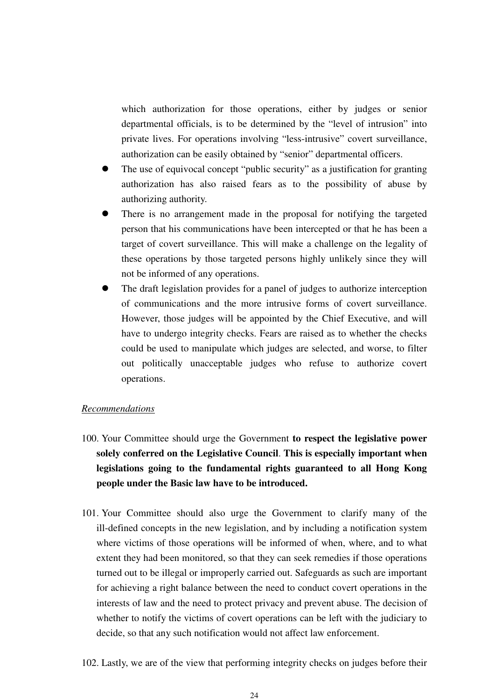which authorization for those operations, either by judges or senior departmental officials, is to be determined by the "level of intrusion" into private lives. For operations involving "less-intrusive" covert surveillance, authorization can be easily obtained by "senior" departmental officers.

- $\bullet$ The use of equivocal concept "public security" as a justification for granting authorization has also raised fears as to the possibility of abuse by authorizing authority.
- $\bullet$  There is no arrangement made in the proposal for notifying the targeted person that his communications have been intercepted or that he has been a target of covert surveillance. This will make a challenge on the legality of these operations by those targeted persons highly unlikely since they will not be informed of any operations.
- $\bullet$  The draft legislation provides for a panel of judges to authorize interception of communications and the more intrusive forms of covert surveillance. However, those judges will be appointed by the Chief Executive, and will have to undergo integrity checks. Fears are raised as to whether the checks could be used to manipulate which judges are selected, and worse, to filter out politically unacceptable judges who refuse to authorize covert operations.

# *Recommendations*

- 100. Your Committee should urge the Government **to respect the legislative power solely conferred on the Legislative Council**. **This is especially important when legislations going to the fundamental rights guaranteed to all Hong Kong people under the Basic law have to be introduced.**
- 101. Your Committee should also urge the Government to clarify many of the ill-defined concepts in the new legislation, and by including a notification system where victims of those operations will be informed of when, where, and to what extent they had been monitored, so that they can seek remedies if those operations turned out to be illegal or improperly carried out. Safeguards as such are important for achieving a right balance between the need to conduct covert operations in the interests of law and the need to protect privacy and prevent abuse. The decision of whether to notify the victims of covert operations can be left with the judiciary to decide, so that any such notification would not affect law enforcement.
- 102. Lastly, we are of the view that performing integrity checks on judges before their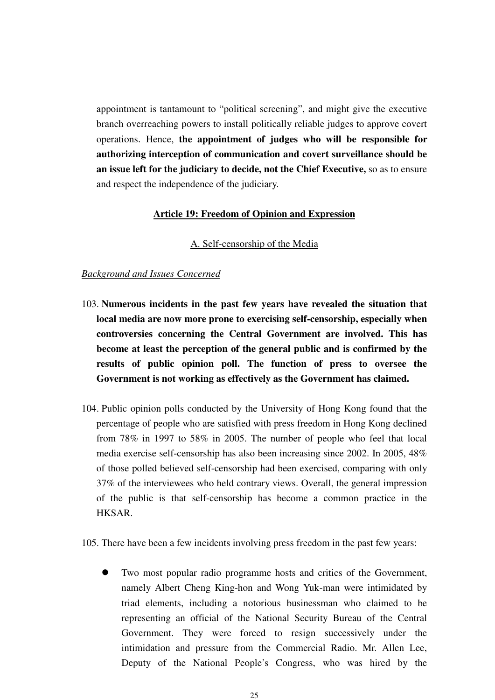appointment is tantamount to "political screening", and might give the executive branch overreaching powers to install politically reliable judges to approve covert operations. Hence, **the appointment of judges who will be responsible for authorizing interception of communication and covert surveillance should be an issue left for the judiciary to decide, not the Chief Executive,** so as to ensure and respect the independence of the judiciary.

#### **Article 19: Freedom of Opinion and Expression**

# A. Self-censorship of the Media

### *Background and Issues Concerned*

- 103. **Numerous incidents in the past few years have revealed the situation that local media are now more prone to exercising self-censorship, especially when controversies concerning the Central Government are involved. This has become at least the perception of the general public and is confirmed by the results of public opinion poll. The function of press to oversee the Government is not working as effectively as the Government has claimed.**
- 104. Public opinion polls conducted by the University of Hong Kong found that the percentage of people who are satisfied with press freedom in Hong Kong declined from 78% in 1997 to 58% in 2005. The number of people who feel that local media exercise self-censorship has also been increasing since 2002. In 2005, 48% of those polled believed self-censorship had been exercised, comparing with only 37% of the interviewees who held contrary views. Overall, the general impression of the public is that self-censorship has become a common practice in the HKSAR.

105. There have been a few incidents involving press freedom in the past few years:

 $\bullet$  Two most popular radio programme hosts and critics of the Government, namely Albert Cheng King-hon and Wong Yuk-man were intimidated by triad elements, including a notorious businessman who claimed to be representing an official of the National Security Bureau of the Central Government. They were forced to resign successively under the intimidation and pressure from the Commercial Radio. Mr. Allen Lee, Deputy of the National People's Congress, who was hired by the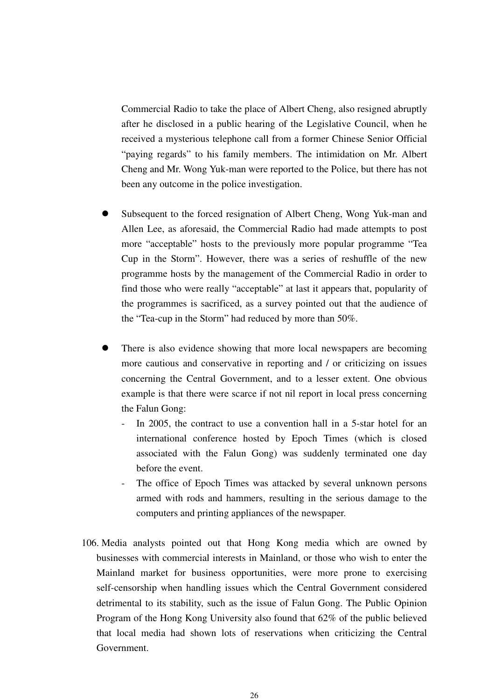Commercial Radio to take the place of Albert Cheng, also resigned abruptly after he disclosed in a public hearing of the Legislative Council, when he received a mysterious telephone call from a former Chinese Senior Official "paying regards" to his family members. The intimidation on Mr. Albert Cheng and Mr. Wong Yuk-man were reported to the Police, but there has not been any outcome in the police investigation.

- $\bullet$  Subsequent to the forced resignation of Albert Cheng, Wong Yuk-man and Allen Lee, as aforesaid, the Commercial Radio had made attempts to post more "acceptable" hosts to the previously more popular programme "Tea Cup in the Storm". However, there was a series of reshuffle of the new programme hosts by the management of the Commercial Radio in order to find those who were really "acceptable" at last it appears that, popularity of the programmes is sacrificed, as a survey pointed out that the audience of the "Tea-cup in the Storm" had reduced by more than 50%.
- $\bullet$  There is also evidence showing that more local newspapers are becoming more cautious and conservative in reporting and / or criticizing on issues concerning the Central Government, and to a lesser extent. One obvious example is that there were scarce if not nil report in local press concerning the Falun Gong:
	- In 2005, the contract to use a convention hall in a 5-star hotel for an international conference hosted by Epoch Times (which is closed associated with the Falun Gong) was suddenly terminated one day before the event.
	- The office of Epoch Times was attacked by several unknown persons armed with rods and hammers, resulting in the serious damage to the computers and printing appliances of the newspaper.
- 106. Media analysts pointed out that Hong Kong media which are owned by businesses with commercial interests in Mainland, or those who wish to enter the Mainland market for business opportunities, were more prone to exercising self-censorship when handling issues which the Central Government considered detrimental to its stability, such as the issue of Falun Gong. The Public Opinion Program of the Hong Kong University also found that 62% of the public believed that local media had shown lots of reservations when criticizing the Central Government.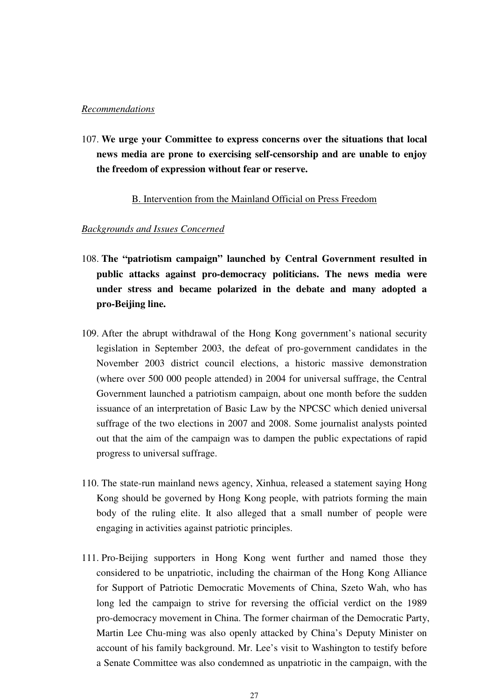# *Recommendations*

107. **We urge your Committee to express concerns over the situations that local news media are prone to exercising self-censorship and are unable to enjoy the freedom of expression without fear or reserve.** 

# B. Intervention from the Mainland Official on Press Freedom

- 108. **The "patriotism campaign" launched by Central Government resulted in public attacks against pro-democracy politicians. The news media were under stress and became polarized in the debate and many adopted a pro-Beijing line.**
- 109. After the abrupt withdrawal of the Hong Kong government's national security legislation in September 2003, the defeat of pro-government candidates in the November 2003 district council elections, a historic massive demonstration (where over 500 000 people attended) in 2004 for universal suffrage, the Central Government launched a patriotism campaign, about one month before the sudden issuance of an interpretation of Basic Law by the NPCSC which denied universal suffrage of the two elections in 2007 and 2008. Some journalist analysts pointed out that the aim of the campaign was to dampen the public expectations of rapid progress to universal suffrage.
- 110. The state-run mainland news agency, Xinhua, released a statement saying Hong Kong should be governed by Hong Kong people, with patriots forming the main body of the ruling elite. It also alleged that a small number of people were engaging in activities against patriotic principles.
- 111. Pro-Beijing supporters in Hong Kong went further and named those they considered to be unpatriotic, including the chairman of the Hong Kong Alliance for Support of Patriotic Democratic Movements of China, Szeto Wah, who has long led the campaign to strive for reversing the official verdict on the 1989 pro-democracy movement in China. The former chairman of the Democratic Party, Martin Lee Chu-ming was also openly attacked by China's Deputy Minister on account of his family background. Mr. Lee's visit to Washington to testify before a Senate Committee was also condemned as unpatriotic in the campaign, with the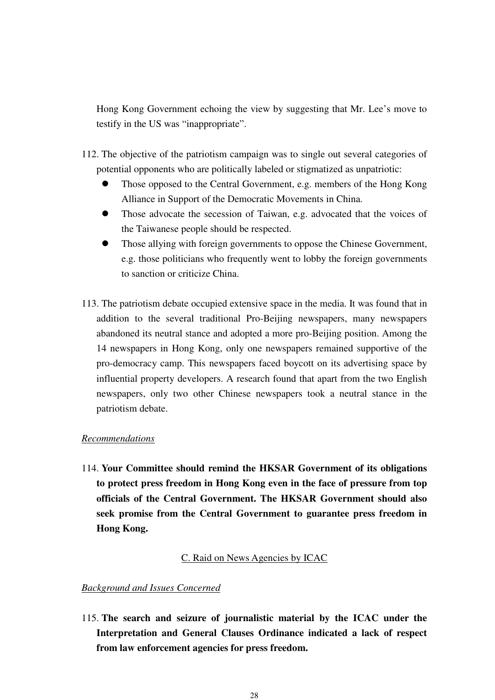Hong Kong Government echoing the view by suggesting that Mr. Lee's move to testify in the US was "inappropriate".

- 112. The objective of the patriotism campaign was to single out several categories of potential opponents who are politically labeled or stigmatized as unpatriotic:
	- $\bullet$  Those opposed to the Central Government, e.g. members of the Hong Kong Alliance in Support of the Democratic Movements in China.
	- $\bullet$  Those advocate the secession of Taiwan, e.g. advocated that the voices of the Taiwanese people should be respected.
	- $\bullet$  Those allying with foreign governments to oppose the Chinese Government, e.g. those politicians who frequently went to lobby the foreign governments to sanction or criticize China.
- 113. The patriotism debate occupied extensive space in the media. It was found that in addition to the several traditional Pro-Beijing newspapers, many newspapers abandoned its neutral stance and adopted a more pro-Beijing position. Among the 14 newspapers in Hong Kong, only one newspapers remained supportive of the pro-democracy camp. This newspapers faced boycott on its advertising space by influential property developers. A research found that apart from the two English newspapers, only two other Chinese newspapers took a neutral stance in the patriotism debate.

# *Recommendations*

114. **Your Committee should remind the HKSAR Government of its obligations to protect press freedom in Hong Kong even in the face of pressure from top officials of the Central Government. The HKSAR Government should also seek promise from the Central Government to guarantee press freedom in Hong Kong.** 

#### C. Raid on News Agencies by ICAC

#### *Background and Issues Concerned*

115. **The search and seizure of journalistic material by the ICAC under the Interpretation and General Clauses Ordinance indicated a lack of respect from law enforcement agencies for press freedom.**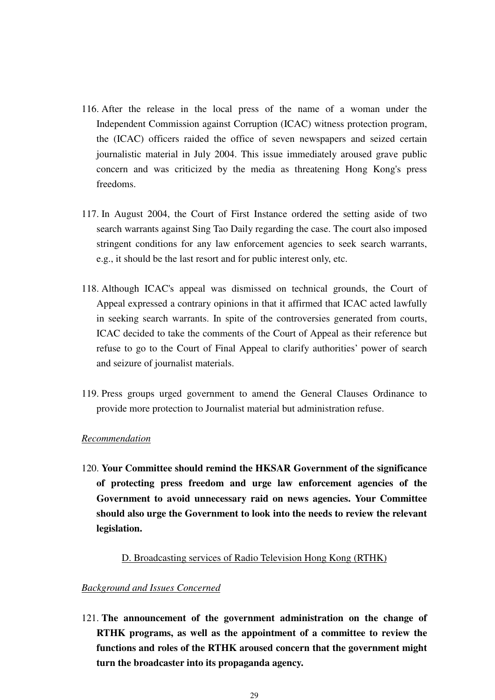- 116. After the release in the local press of the name of a woman under the Independent Commission against Corruption (ICAC) witness protection program, the (ICAC) officers raided the office of seven newspapers and seized certain journalistic material in July 2004. This issue immediately aroused grave public concern and was criticized by the media as threatening Hong Kong's press freedoms.
- 117. In August 2004, the Court of First Instance ordered the setting aside of two search warrants against Sing Tao Daily regarding the case. The court also imposed stringent conditions for any law enforcement agencies to seek search warrants, e.g., it should be the last resort and for public interest only, etc.
- 118. Although ICAC's appeal was dismissed on technical grounds, the Court of Appeal expressed a contrary opinions in that it affirmed that ICAC acted lawfully in seeking search warrants. In spite of the controversies generated from courts, ICAC decided to take the comments of the Court of Appeal as their reference but refuse to go to the Court of Final Appeal to clarify authorities' power of search and seizure of journalist materials.
- 119. Press groups urged government to amend the General Clauses Ordinance to provide more protection to Journalist material but administration refuse.

# *Recommendation*

120. **Your Committee should remind the HKSAR Government of the significance of protecting press freedom and urge law enforcement agencies of the Government to avoid unnecessary raid on news agencies. Your Committee should also urge the Government to look into the needs to review the relevant legislation.** 

#### D. Broadcasting services of Radio Television Hong Kong (RTHK)

# *Background and Issues Concerned*

121. **The announcement of the government administration on the change of RTHK programs, as well as the appointment of a committee to review the functions and roles of the RTHK aroused concern that the government might turn the broadcaster into its propaganda agency.**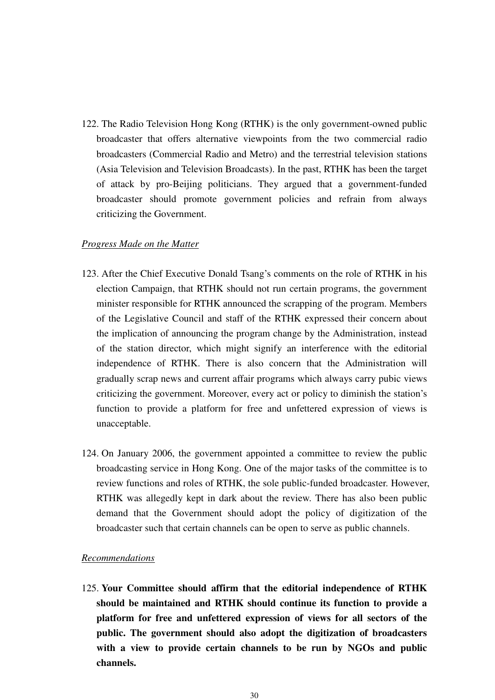122. The Radio Television Hong Kong (RTHK) is the only government-owned public broadcaster that offers alternative viewpoints from the two commercial radio broadcasters (Commercial Radio and Metro) and the terrestrial television stations (Asia Television and Television Broadcasts). In the past, RTHK has been the target of attack by pro-Beijing politicians. They argued that a government-funded broadcaster should promote government policies and refrain from always criticizing the Government.

# *Progress Made on the Matter*

- 123. After the Chief Executive Donald Tsang's comments on the role of RTHK in his election Campaign, that RTHK should not run certain programs, the government minister responsible for RTHK announced the scrapping of the program. Members of the Legislative Council and staff of the RTHK expressed their concern about the implication of announcing the program change by the Administration, instead of the station director, which might signify an interference with the editorial independence of RTHK. There is also concern that the Administration will gradually scrap news and current affair programs which always carry pubic views criticizing the government. Moreover, every act or policy to diminish the station's function to provide a platform for free and unfettered expression of views is unacceptable.
- 124. On January 2006, the government appointed a committee to review the public broadcasting service in Hong Kong. One of the major tasks of the committee is to review functions and roles of RTHK, the sole public-funded broadcaster. However, RTHK was allegedly kept in dark about the review. There has also been public demand that the Government should adopt the policy of digitization of the broadcaster such that certain channels can be open to serve as public channels.

# *Recommendations*

125. **Your Committee should affirm that the editorial independence of RTHK should be maintained and RTHK should continue its function to provide a platform for free and unfettered expression of views for all sectors of the public. The government should also adopt the digitization of broadcasters with a view to provide certain channels to be run by NGOs and public channels.**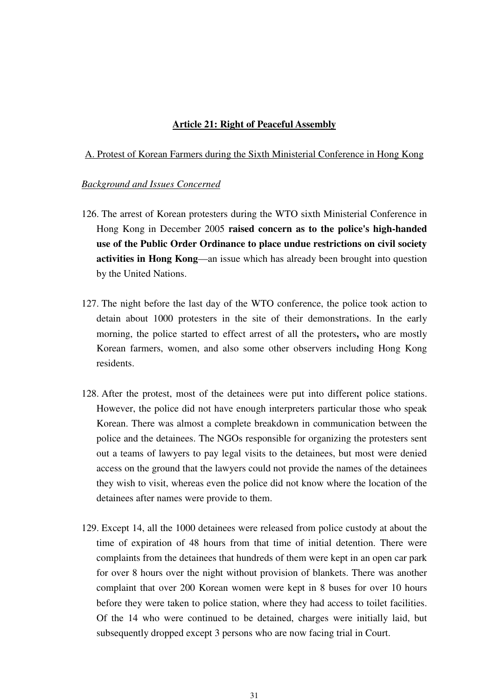### **Article 21: Right of Peaceful Assembly**

#### A. Protest of Korean Farmers during the Sixth Ministerial Conference in Hong Kong

- 126. The arrest of Korean protesters during the WTO sixth Ministerial Conference in Hong Kong in December 2005 **raised concern as to the police's high-handed use of the Public Order Ordinance to place undue restrictions on civil society activities in Hong Kong**—an issue which has already been brought into question by the United Nations.
- 127. The night before the last day of the WTO conference, the police took action to detain about 1000 protesters in the site of their demonstrations. In the early morning, the police started to effect arrest of all the protesters**,** who are mostly Korean farmers, women, and also some other observers including Hong Kong residents.
- 128. After the protest, most of the detainees were put into different police stations. However, the police did not have enough interpreters particular those who speak Korean. There was almost a complete breakdown in communication between the police and the detainees. The NGOs responsible for organizing the protesters sent out a teams of lawyers to pay legal visits to the detainees, but most were denied access on the ground that the lawyers could not provide the names of the detainees they wish to visit, whereas even the police did not know where the location of the detainees after names were provide to them.
- 129. Except 14, all the 1000 detainees were released from police custody at about the time of expiration of 48 hours from that time of initial detention. There were complaints from the detainees that hundreds of them were kept in an open car park for over 8 hours over the night without provision of blankets. There was another complaint that over 200 Korean women were kept in 8 buses for over 10 hours before they were taken to police station, where they had access to toilet facilities. Of the 14 who were continued to be detained, charges were initially laid, but subsequently dropped except 3 persons who are now facing trial in Court.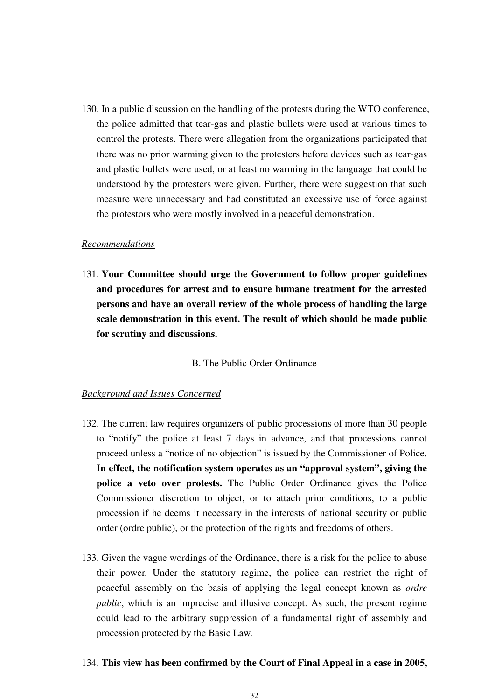130. In a public discussion on the handling of the protests during the WTO conference, the police admitted that tear-gas and plastic bullets were used at various times to control the protests. There were allegation from the organizations participated that there was no prior warming given to the protesters before devices such as tear-gas and plastic bullets were used, or at least no warming in the language that could be understood by the protesters were given. Further, there were suggestion that such measure were unnecessary and had constituted an excessive use of force against the protestors who were mostly involved in a peaceful demonstration.

#### *Recommendations*

131. **Your Committee should urge the Government to follow proper guidelines and procedures for arrest and to ensure humane treatment for the arrested persons and have an overall review of the whole process of handling the large scale demonstration in this event. The result of which should be made public for scrutiny and discussions.** 

# B. The Public Order Ordinance

#### *Background and Issues Concerned*

- 132. The current law requires organizers of public processions of more than 30 people to "notify" the police at least 7 days in advance, and that processions cannot proceed unless a "notice of no objection" is issued by the Commissioner of Police. **In effect, the notification system operates as an "approval system", giving the police a veto over protests.** The Public Order Ordinance gives the Police Commissioner discretion to object, or to attach prior conditions, to a public procession if he deems it necessary in the interests of national security or public order (ordre public), or the protection of the rights and freedoms of others.
- 133. Given the vague wordings of the Ordinance, there is a risk for the police to abuse their power. Under the statutory regime, the police can restrict the right of peaceful assembly on the basis of applying the legal concept known as *ordre public*, which is an imprecise and illusive concept. As such, the present regime could lead to the arbitrary suppression of a fundamental right of assembly and procession protected by the Basic Law.

#### 134. **This view has been confirmed by the Court of Final Appeal in a case in 2005,**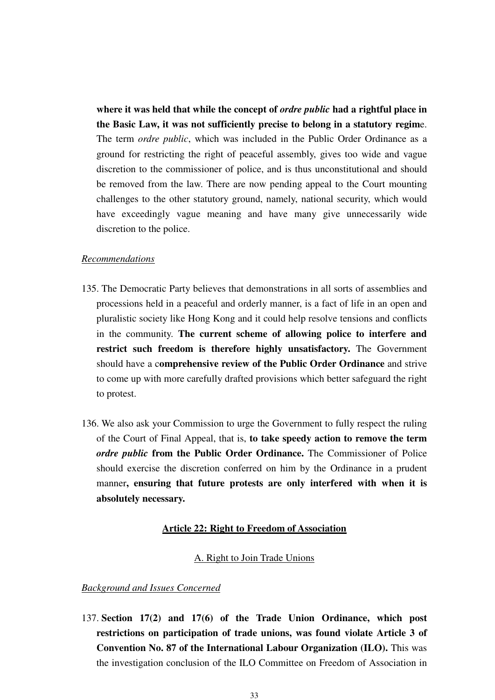**where it was held that while the concept of** *ordre public* **had a rightful place in the Basic Law, it was not sufficiently precise to belong in a statutory regim**e. The term *ordre public*, which was included in the Public Order Ordinance as a ground for restricting the right of peaceful assembly, gives too wide and vague discretion to the commissioner of police, and is thus unconstitutional and should be removed from the law. There are now pending appeal to the Court mounting challenges to the other statutory ground, namely, national security, which would have exceedingly vague meaning and have many give unnecessarily wide discretion to the police.

#### *Recommendations*

- 135. The Democratic Party believes that demonstrations in all sorts of assemblies and processions held in a peaceful and orderly manner, is a fact of life in an open and pluralistic society like Hong Kong and it could help resolve tensions and conflicts in the community. **The current scheme of allowing police to interfere and restrict such freedom is therefore highly unsatisfactory.** The Government should have a c**omprehensive review of the Public Order Ordinance** and strive to come up with more carefully drafted provisions which better safeguard the right to protest.
- 136. We also ask your Commission to urge the Government to fully respect the ruling of the Court of Final Appeal, that is, **to take speedy action to remove the term**  *ordre public* **from the Public Order Ordinance.** The Commissioner of Police should exercise the discretion conferred on him by the Ordinance in a prudent manner**, ensuring that future protests are only interfered with when it is absolutely necessary.**

#### **Article 22: Right to Freedom of Association**

# A. Right to Join Trade Unions

#### *Background and Issues Concerned*

137. **Section 17(2) and 17(6) of the Trade Union Ordinance, which post restrictions on participation of trade unions, was found violate Article 3 of Convention No. 87 of the International Labour Organization (ILO).** This was the investigation conclusion of the ILO Committee on Freedom of Association in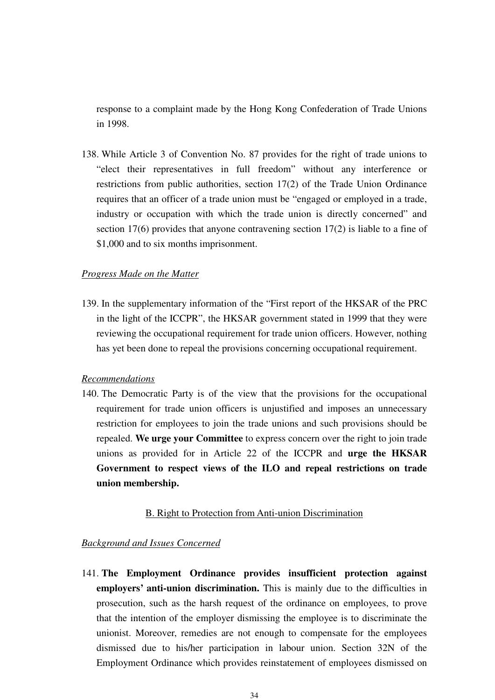response to a complaint made by the Hong Kong Confederation of Trade Unions in 1998.

138. While Article 3 of Convention No. 87 provides for the right of trade unions to "elect their representatives in full freedom" without any interference or restrictions from public authorities, section 17(2) of the Trade Union Ordinance requires that an officer of a trade union must be "engaged or employed in a trade, industry or occupation with which the trade union is directly concerned" and section 17(6) provides that anyone contravening section 17(2) is liable to a fine of \$1,000 and to six months imprisonment.

# *Progress Made on the Matter*

139. In the supplementary information of the "First report of the HKSAR of the PRC in the light of the ICCPR", the HKSAR government stated in 1999 that they were reviewing the occupational requirement for trade union officers. However, nothing has yet been done to repeal the provisions concerning occupational requirement.

### *Recommendations*

140. The Democratic Party is of the view that the provisions for the occupational requirement for trade union officers is unjustified and imposes an unnecessary restriction for employees to join the trade unions and such provisions should be repealed. **We urge your Committee** to express concern over the right to join trade unions as provided for in Article 22 of the ICCPR and **urge the HKSAR Government to respect views of the ILO and repeal restrictions on trade union membership.** 

#### B. Right to Protection from Anti-union Discrimination

# *Background and Issues Concerned*

141. **The Employment Ordinance provides insufficient protection against employers' anti-union discrimination.** This is mainly due to the difficulties in prosecution, such as the harsh request of the ordinance on employees, to prove that the intention of the employer dismissing the employee is to discriminate the unionist. Moreover, remedies are not enough to compensate for the employees dismissed due to his/her participation in labour union. Section 32N of the Employment Ordinance which provides reinstatement of employees dismissed on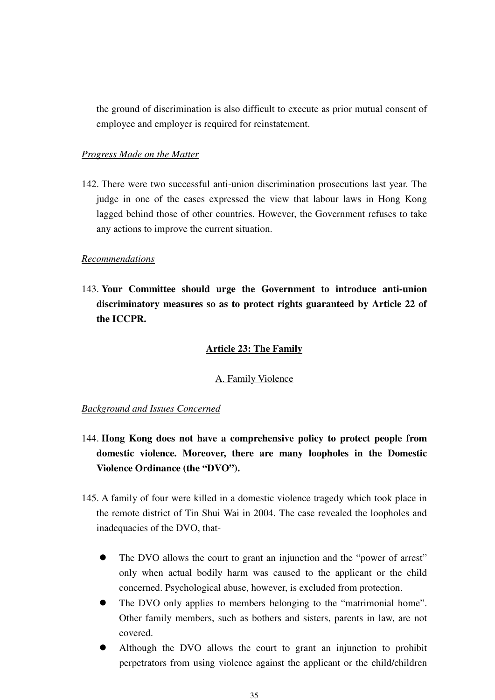the ground of discrimination is also difficult to execute as prior mutual consent of employee and employer is required for reinstatement.

# *Progress Made on the Matter*

142. There were two successful anti-union discrimination prosecutions last year. The judge in one of the cases expressed the view that labour laws in Hong Kong lagged behind those of other countries. However, the Government refuses to take any actions to improve the current situation.

#### *Recommendations*

143. **Your Committee should urge the Government to introduce anti-union discriminatory measures so as to protect rights guaranteed by Article 22 of the ICCPR.** 

### **Article 23: The Family**

### A. Family Violence

- 144. **Hong Kong does not have a comprehensive policy to protect people from domestic violence. Moreover, there are many loopholes in the Domestic Violence Ordinance (the "DVO").**
- 145. A family of four were killed in a domestic violence tragedy which took place in the remote district of Tin Shui Wai in 2004. The case revealed the loopholes and inadequacies of the DVO, that-
	- $\bullet$  The DVO allows the court to grant an injunction and the "power of arrest" only when actual bodily harm was caused to the applicant or the child concerned. Psychological abuse, however, is excluded from protection.
	- $\bullet$ The DVO only applies to members belonging to the "matrimonial home". Other family members, such as bothers and sisters, parents in law, are not covered.
	- $\bullet$  Although the DVO allows the court to grant an injunction to prohibit perpetrators from using violence against the applicant or the child/children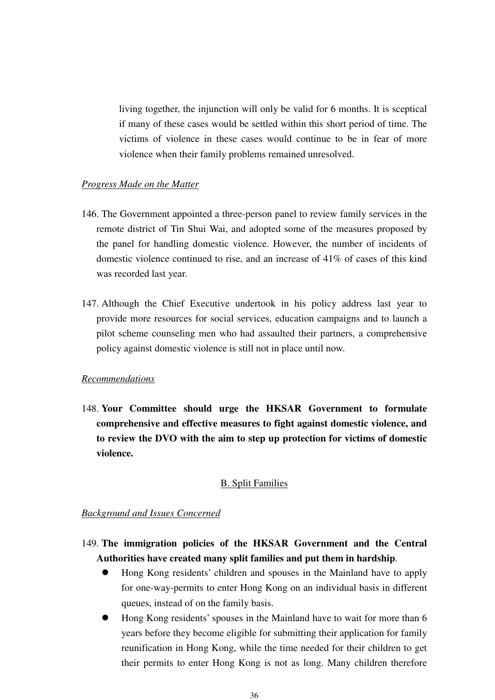living together, the injunction will only be valid for 6 months. It is sceptical if many of these cases would be settled within this short period of time. The victims of violence in these cases would continue to be in fear of more violence when their family problems remained unresolved.

#### *Progress Made on the Matter*

- 146. The Government appointed a three-person panel to review family services in the remote district of Tin Shui Wai, and adopted some of the measures proposed by the panel for handling domestic violence. However, the number of incidents of domestic violence continued to rise, and an increase of 41% of cases of this kind was recorded last year.
- 147. Although the Chief Executive undertook in his policy address last year to provide more resources for social services, education campaigns and to launch a pilot scheme counseling men who had assaulted their partners, a comprehensive policy against domestic violence is still not in place until now.

### *Recommendations*

148. **Your Committee should urge the HKSAR Government to formulate comprehensive and effective measures to fight against domestic violence, and to review the DVO with the aim to step up protection for victims of domestic violence.** 

#### B. Split Families

# *Background and Issues Concerned*

# 149. **The immigration policies of the HKSAR Government and the Central Authorities have created many split families and put them in hardship**.

- $\bullet$  Hong Kong residents' children and spouses in the Mainland have to apply for one-way-permits to enter Hong Kong on an individual basis in different queues, instead of on the family basis.
- $\bullet$  Hong Kong residents' spouses in the Mainland have to wait for more than 6 years before they become eligible for submitting their application for family reunification in Hong Kong, while the time needed for their children to get their permits to enter Hong Kong is not as long. Many children therefore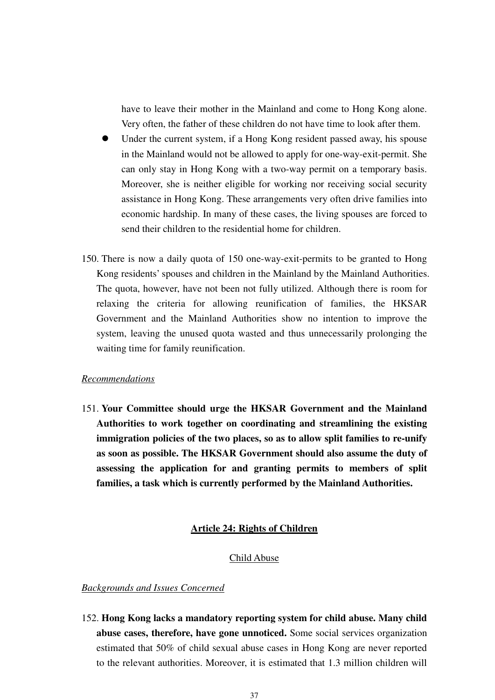have to leave their mother in the Mainland and come to Hong Kong alone. Very often, the father of these children do not have time to look after them.

- $\bullet$  Under the current system, if a Hong Kong resident passed away, his spouse in the Mainland would not be allowed to apply for one-way-exit-permit. She can only stay in Hong Kong with a two-way permit on a temporary basis. Moreover, she is neither eligible for working nor receiving social security assistance in Hong Kong. These arrangements very often drive families into economic hardship. In many of these cases, the living spouses are forced to send their children to the residential home for children.
- 150. There is now a daily quota of 150 one-way-exit-permits to be granted to Hong Kong residents' spouses and children in the Mainland by the Mainland Authorities. The quota, however, have not been not fully utilized. Although there is room for relaxing the criteria for allowing reunification of families, the HKSAR Government and the Mainland Authorities show no intention to improve the system, leaving the unused quota wasted and thus unnecessarily prolonging the waiting time for family reunification.

# *Recommendations*

151. **Your Committee should urge the HKSAR Government and the Mainland Authorities to work together on coordinating and streamlining the existing immigration policies of the two places, so as to allow split families to re-unify as soon as possible. The HKSAR Government should also assume the duty of assessing the application for and granting permits to members of split families, a task which is currently performed by the Mainland Authorities.** 

# **Article 24: Rights of Children**

### Child Abuse

# *Backgrounds and Issues Concerned*

152. **Hong Kong lacks a mandatory reporting system for child abuse. Many child abuse cases, therefore, have gone unnoticed.** Some social services organization estimated that 50% of child sexual abuse cases in Hong Kong are never reported to the relevant authorities. Moreover, it is estimated that 1.3 million children will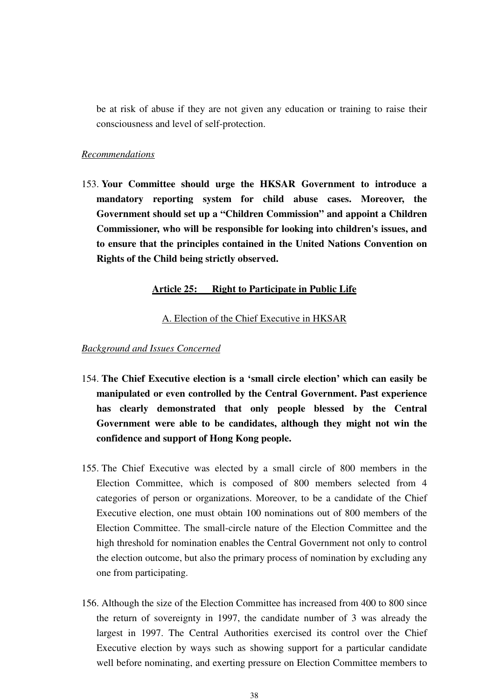be at risk of abuse if they are not given any education or training to raise their consciousness and level of self-protection.

#### *Recommendations*

153. **Your Committee should urge the HKSAR Government to introduce a mandatory reporting system for child abuse cases. Moreover, the Government should set up a "Children Commission" and appoint a Children Commissioner, who will be responsible for looking into children's issues, and to ensure that the principles contained in the United Nations Convention on Rights of the Child being strictly observed.** 

#### **Article 25: Right to Participate in Public Life**

# A. Election of the Chief Executive in HKSAR

- 154. **The Chief Executive election is a 'small circle election' which can easily be manipulated or even controlled by the Central Government. Past experience has clearly demonstrated that only people blessed by the Central Government were able to be candidates, although they might not win the confidence and support of Hong Kong people.**
- 155. The Chief Executive was elected by a small circle of 800 members in the Election Committee, which is composed of 800 members selected from 4 categories of person or organizations. Moreover, to be a candidate of the Chief Executive election, one must obtain 100 nominations out of 800 members of the Election Committee. The small-circle nature of the Election Committee and the high threshold for nomination enables the Central Government not only to control the election outcome, but also the primary process of nomination by excluding any one from participating.
- 156. Although the size of the Election Committee has increased from 400 to 800 since the return of sovereignty in 1997, the candidate number of 3 was already the largest in 1997. The Central Authorities exercised its control over the Chief Executive election by ways such as showing support for a particular candidate well before nominating, and exerting pressure on Election Committee members to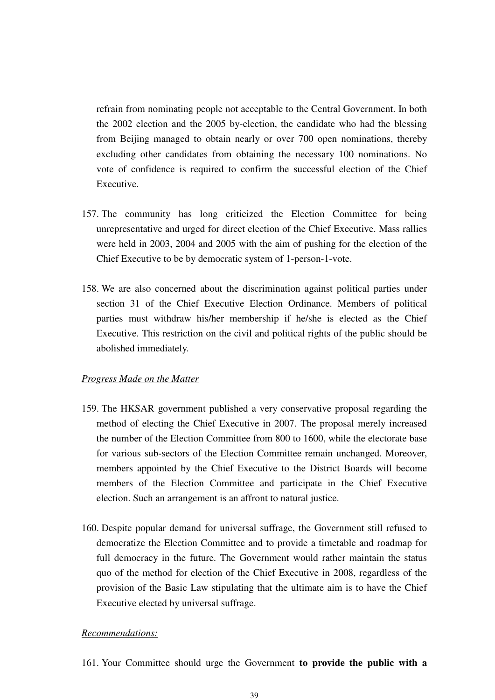refrain from nominating people not acceptable to the Central Government. In both the 2002 election and the 2005 by-election, the candidate who had the blessing from Beijing managed to obtain nearly or over 700 open nominations, thereby excluding other candidates from obtaining the necessary 100 nominations. No vote of confidence is required to confirm the successful election of the Chief Executive.

- 157. The community has long criticized the Election Committee for being unrepresentative and urged for direct election of the Chief Executive. Mass rallies were held in 2003, 2004 and 2005 with the aim of pushing for the election of the Chief Executive to be by democratic system of 1-person-1-vote.
- 158. We are also concerned about the discrimination against political parties under section 31 of the Chief Executive Election Ordinance. Members of political parties must withdraw his/her membership if he/she is elected as the Chief Executive. This restriction on the civil and political rights of the public should be abolished immediately.

### *Progress Made on the Matter*

- 159. The HKSAR government published a very conservative proposal regarding the method of electing the Chief Executive in 2007. The proposal merely increased the number of the Election Committee from 800 to 1600, while the electorate base for various sub-sectors of the Election Committee remain unchanged. Moreover, members appointed by the Chief Executive to the District Boards will become members of the Election Committee and participate in the Chief Executive election. Such an arrangement is an affront to natural justice.
- 160. Despite popular demand for universal suffrage, the Government still refused to democratize the Election Committee and to provide a timetable and roadmap for full democracy in the future. The Government would rather maintain the status quo of the method for election of the Chief Executive in 2008, regardless of the provision of the Basic Law stipulating that the ultimate aim is to have the Chief Executive elected by universal suffrage.

#### *Recommendations:*

161. Your Committee should urge the Government **to provide the public with a**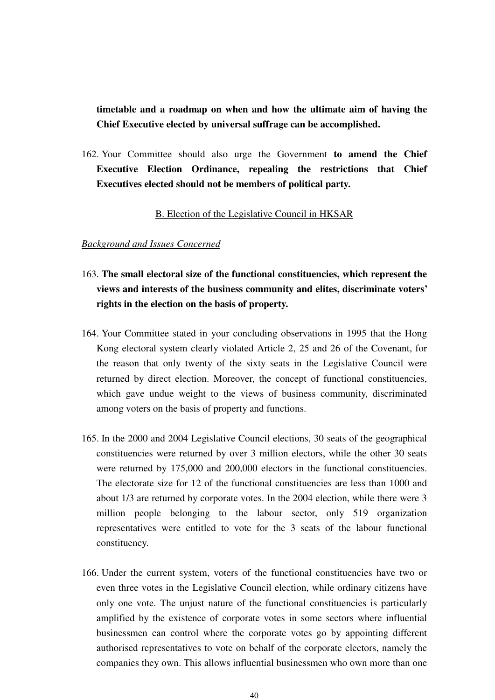**timetable and a roadmap on when and how the ultimate aim of having the Chief Executive elected by universal suffrage can be accomplished.**

162. Your Committee should also urge the Government **to amend the Chief Executive Election Ordinance, repealing the restrictions that Chief Executives elected should not be members of political party.**

# B. Election of the Legislative Council in HKSAR

- 163. **The small electoral size of the functional constituencies, which represent the views and interests of the business community and elites, discriminate voters' rights in the election on the basis of property.**
- 164. Your Committee stated in your concluding observations in 1995 that the Hong Kong electoral system clearly violated Article 2, 25 and 26 of the Covenant, for the reason that only twenty of the sixty seats in the Legislative Council were returned by direct election. Moreover, the concept of functional constituencies, which gave undue weight to the views of business community, discriminated among voters on the basis of property and functions.
- 165. In the 2000 and 2004 Legislative Council elections, 30 seats of the geographical constituencies were returned by over 3 million electors, while the other 30 seats were returned by 175,000 and 200,000 electors in the functional constituencies. The electorate size for 12 of the functional constituencies are less than 1000 and about 1/3 are returned by corporate votes. In the 2004 election, while there were 3 million people belonging to the labour sector, only 519 organization representatives were entitled to vote for the 3 seats of the labour functional constituency.
- 166. Under the current system, voters of the functional constituencies have two or even three votes in the Legislative Council election, while ordinary citizens have only one vote. The unjust nature of the functional constituencies is particularly amplified by the existence of corporate votes in some sectors where influential businessmen can control where the corporate votes go by appointing different authorised representatives to vote on behalf of the corporate electors, namely the companies they own. This allows influential businessmen who own more than one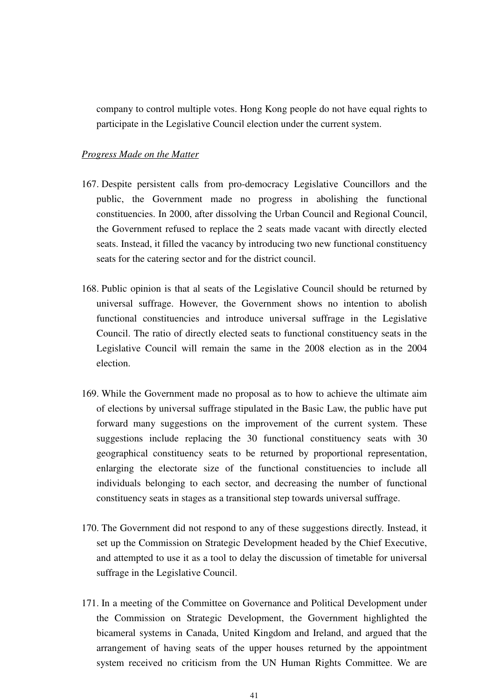company to control multiple votes. Hong Kong people do not have equal rights to participate in the Legislative Council election under the current system.

#### *Progress Made on the Matter*

- 167. Despite persistent calls from pro-democracy Legislative Councillors and the public, the Government made no progress in abolishing the functional constituencies. In 2000, after dissolving the Urban Council and Regional Council, the Government refused to replace the 2 seats made vacant with directly elected seats. Instead, it filled the vacancy by introducing two new functional constituency seats for the catering sector and for the district council.
- 168. Public opinion is that al seats of the Legislative Council should be returned by universal suffrage. However, the Government shows no intention to abolish functional constituencies and introduce universal suffrage in the Legislative Council. The ratio of directly elected seats to functional constituency seats in the Legislative Council will remain the same in the 2008 election as in the 2004 election.
- 169. While the Government made no proposal as to how to achieve the ultimate aim of elections by universal suffrage stipulated in the Basic Law, the public have put forward many suggestions on the improvement of the current system. These suggestions include replacing the 30 functional constituency seats with 30 geographical constituency seats to be returned by proportional representation, enlarging the electorate size of the functional constituencies to include all individuals belonging to each sector, and decreasing the number of functional constituency seats in stages as a transitional step towards universal suffrage.
- 170. The Government did not respond to any of these suggestions directly. Instead, it set up the Commission on Strategic Development headed by the Chief Executive, and attempted to use it as a tool to delay the discussion of timetable for universal suffrage in the Legislative Council.
- 171. In a meeting of the Committee on Governance and Political Development under the Commission on Strategic Development, the Government highlighted the bicameral systems in Canada, United Kingdom and Ireland, and argued that the arrangement of having seats of the upper houses returned by the appointment system received no criticism from the UN Human Rights Committee. We are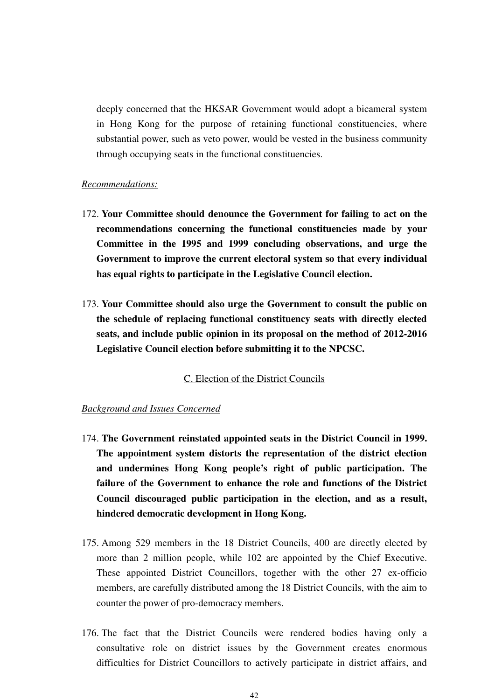deeply concerned that the HKSAR Government would adopt a bicameral system in Hong Kong for the purpose of retaining functional constituencies, where substantial power, such as veto power, would be vested in the business community through occupying seats in the functional constituencies.

#### *Recommendations:*

- 172. **Your Committee should denounce the Government for failing to act on the recommendations concerning the functional constituencies made by your Committee in the 1995 and 1999 concluding observations, and urge the Government to improve the current electoral system so that every individual has equal rights to participate in the Legislative Council election.**
- 173. **Your Committee should also urge the Government to consult the public on the schedule of replacing functional constituency seats with directly elected seats, and include public opinion in its proposal on the method of 2012-2016 Legislative Council election before submitting it to the NPCSC.**

# C. Election of the District Councils

- 174. **The Government reinstated appointed seats in the District Council in 1999. The appointment system distorts the representation of the district election and undermines Hong Kong people's right of public participation. The failure of the Government to enhance the role and functions of the District Council discouraged public participation in the election, and as a result, hindered democratic development in Hong Kong.**
- 175. Among 529 members in the 18 District Councils, 400 are directly elected by more than 2 million people, while 102 are appointed by the Chief Executive. These appointed District Councillors, together with the other 27 ex-officio members, are carefully distributed among the 18 District Councils, with the aim to counter the power of pro-democracy members.
- 176. The fact that the District Councils were rendered bodies having only a consultative role on district issues by the Government creates enormous difficulties for District Councillors to actively participate in district affairs, and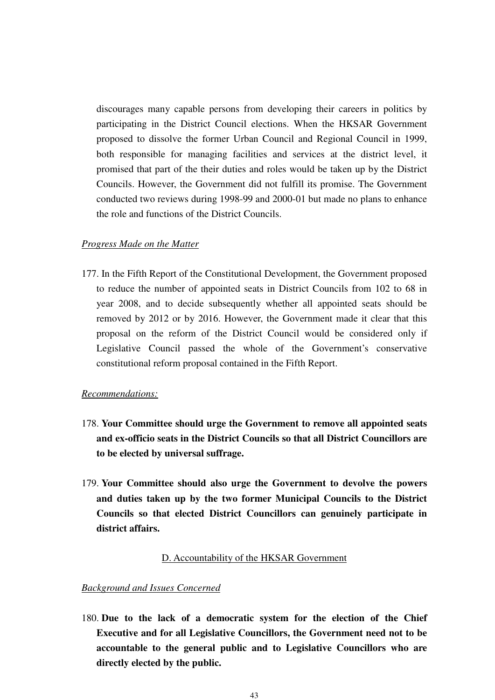discourages many capable persons from developing their careers in politics by participating in the District Council elections. When the HKSAR Government proposed to dissolve the former Urban Council and Regional Council in 1999, both responsible for managing facilities and services at the district level, it promised that part of the their duties and roles would be taken up by the District Councils. However, the Government did not fulfill its promise. The Government conducted two reviews during 1998-99 and 2000-01 but made no plans to enhance the role and functions of the District Councils.

# *Progress Made on the Matter*

177. In the Fifth Report of the Constitutional Development, the Government proposed to reduce the number of appointed seats in District Councils from 102 to 68 in year 2008, and to decide subsequently whether all appointed seats should be removed by 2012 or by 2016. However, the Government made it clear that this proposal on the reform of the District Council would be considered only if Legislative Council passed the whole of the Government's conservative constitutional reform proposal contained in the Fifth Report.

# *Recommendations:*

- 178. **Your Committee should urge the Government to remove all appointed seats and ex-officio seats in the District Councils so that all District Councillors are to be elected by universal suffrage.**
- 179. **Your Committee should also urge the Government to devolve the powers and duties taken up by the two former Municipal Councils to the District Councils so that elected District Councillors can genuinely participate in district affairs.**

#### D. Accountability of the HKSAR Government

#### *Background and Issues Concerned*

180. **Due to the lack of a democratic system for the election of the Chief Executive and for all Legislative Councillors, the Government need not to be accountable to the general public and to Legislative Councillors who are directly elected by the public.**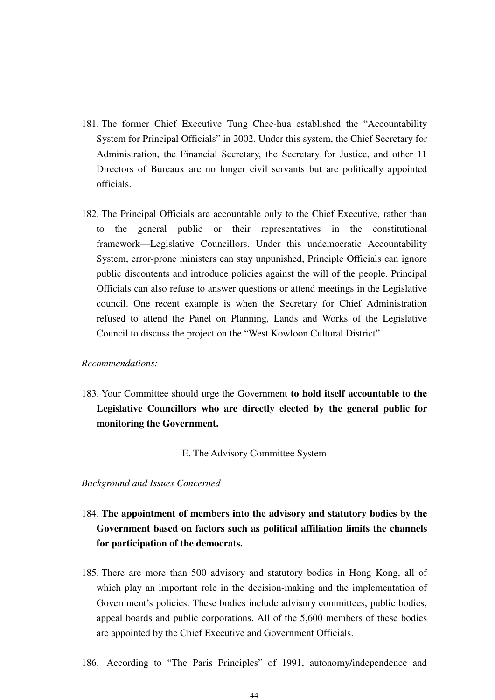- 181. The former Chief Executive Tung Chee-hua established the "Accountability System for Principal Officials" in 2002. Under this system, the Chief Secretary for Administration, the Financial Secretary, the Secretary for Justice, and other 11 Directors of Bureaux are no longer civil servants but are politically appointed officials.
- 182. The Principal Officials are accountable only to the Chief Executive, rather than to the general public or their representatives in the constitutional framework—Legislative Councillors. Under this undemocratic Accountability System, error-prone ministers can stay unpunished, Principle Officials can ignore public discontents and introduce policies against the will of the people. Principal Officials can also refuse to answer questions or attend meetings in the Legislative council. One recent example is when the Secretary for Chief Administration refused to attend the Panel on Planning, Lands and Works of the Legislative Council to discuss the project on the "West Kowloon Cultural District".

#### *Recommendations:*

183. Your Committee should urge the Government **to hold itself accountable to the Legislative Councillors who are directly elected by the general public for monitoring the Government.**

# E. The Advisory Committee System

- 184. **The appointment of members into the advisory and statutory bodies by the Government based on factors such as political affiliation limits the channels for participation of the democrats.**
- 185. There are more than 500 advisory and statutory bodies in Hong Kong, all of which play an important role in the decision-making and the implementation of Government's policies. These bodies include advisory committees, public bodies, appeal boards and public corporations. All of the 5,600 members of these bodies are appointed by the Chief Executive and Government Officials.
- 186. According to "The Paris Principles" of 1991, autonomy/independence and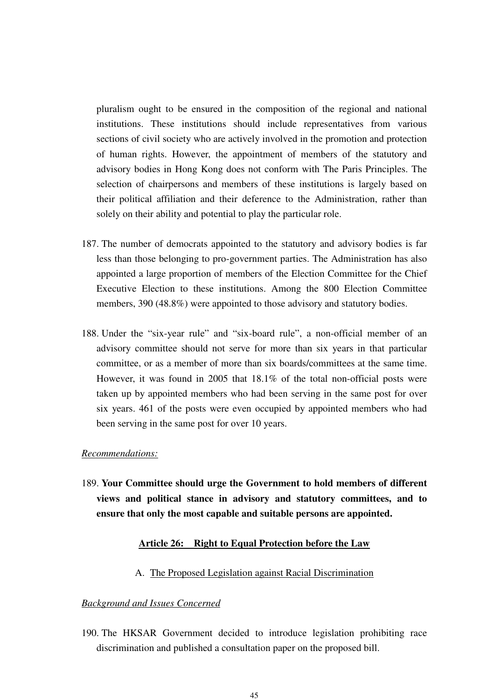pluralism ought to be ensured in the composition of the regional and national institutions. These institutions should include representatives from various sections of civil society who are actively involved in the promotion and protection of human rights. However, the appointment of members of the statutory and advisory bodies in Hong Kong does not conform with The Paris Principles. The selection of chairpersons and members of these institutions is largely based on their political affiliation and their deference to the Administration, rather than solely on their ability and potential to play the particular role.

- 187. The number of democrats appointed to the statutory and advisory bodies is far less than those belonging to pro-government parties. The Administration has also appointed a large proportion of members of the Election Committee for the Chief Executive Election to these institutions. Among the 800 Election Committee members, 390 (48.8%) were appointed to those advisory and statutory bodies.
- 188. Under the "six-year rule" and "six-board rule", a non-official member of an advisory committee should not serve for more than six years in that particular committee, or as a member of more than six boards/committees at the same time. However, it was found in 2005 that 18.1% of the total non-official posts were taken up by appointed members who had been serving in the same post for over six years. 461 of the posts were even occupied by appointed members who had been serving in the same post for over 10 years.

# *Recommendations:*

189. **Your Committee should urge the Government to hold members of different views and political stance in advisory and statutory committees, and to ensure that only the most capable and suitable persons are appointed.** 

# **Article 26: Right to Equal Protection before the Law**

# A. The Proposed Legislation against Racial Discrimination

#### *Background and Issues Concerned*

190. The HKSAR Government decided to introduce legislation prohibiting race discrimination and published a consultation paper on the proposed bill.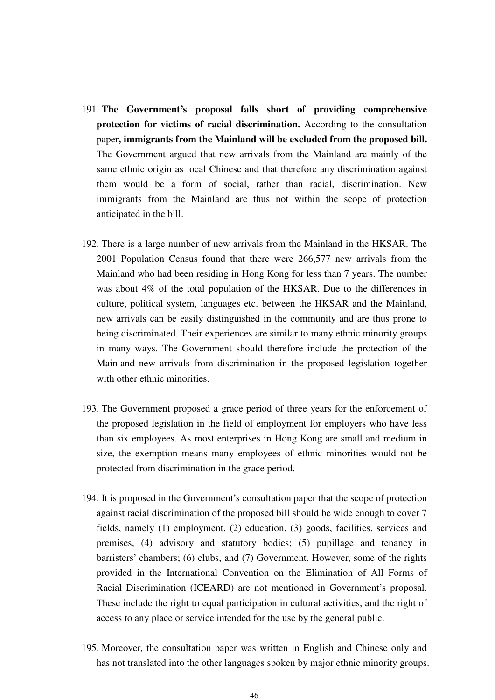- 191. **The Government's proposal falls short of providing comprehensive protection for victims of racial discrimination.** According to the consultation paper**, immigrants from the Mainland will be excluded from the proposed bill.**  The Government argued that new arrivals from the Mainland are mainly of the same ethnic origin as local Chinese and that therefore any discrimination against them would be a form of social, rather than racial, discrimination. New immigrants from the Mainland are thus not within the scope of protection anticipated in the bill.
- 192. There is a large number of new arrivals from the Mainland in the HKSAR. The 2001 Population Census found that there were 266,577 new arrivals from the Mainland who had been residing in Hong Kong for less than 7 years. The number was about 4% of the total population of the HKSAR. Due to the differences in culture, political system, languages etc. between the HKSAR and the Mainland, new arrivals can be easily distinguished in the community and are thus prone to being discriminated. Their experiences are similar to many ethnic minority groups in many ways. The Government should therefore include the protection of the Mainland new arrivals from discrimination in the proposed legislation together with other ethnic minorities.
- 193. The Government proposed a grace period of three years for the enforcement of the proposed legislation in the field of employment for employers who have less than six employees. As most enterprises in Hong Kong are small and medium in size, the exemption means many employees of ethnic minorities would not be protected from discrimination in the grace period.
- 194. It is proposed in the Government's consultation paper that the scope of protection against racial discrimination of the proposed bill should be wide enough to cover 7 fields, namely (1) employment, (2) education, (3) goods, facilities, services and premises, (4) advisory and statutory bodies; (5) pupillage and tenancy in barristers' chambers; (6) clubs, and (7) Government. However, some of the rights provided in the International Convention on the Elimination of All Forms of Racial Discrimination (ICEARD) are not mentioned in Government's proposal. These include the right to equal participation in cultural activities, and the right of access to any place or service intended for the use by the general public.
- 195. Moreover, the consultation paper was written in English and Chinese only and has not translated into the other languages spoken by major ethnic minority groups.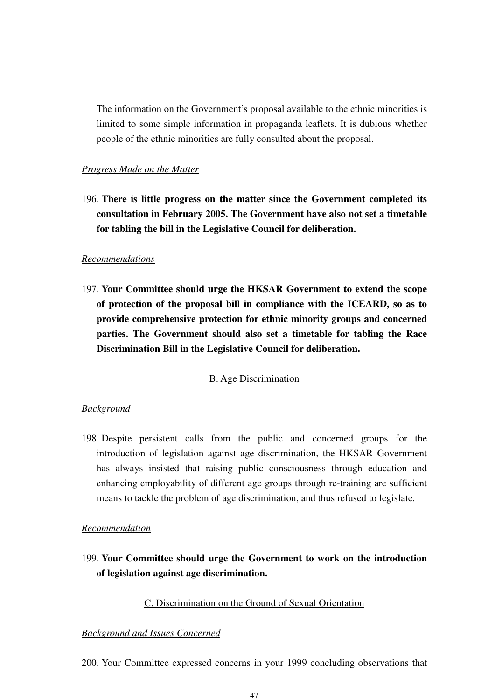The information on the Government's proposal available to the ethnic minorities is limited to some simple information in propaganda leaflets. It is dubious whether people of the ethnic minorities are fully consulted about the proposal.

# *Progress Made on the Matter*

196. **There is little progress on the matter since the Government completed its consultation in February 2005. The Government have also not set a timetable for tabling the bill in the Legislative Council for deliberation.** 

#### *Recommendations*

197. **Your Committee should urge the HKSAR Government to extend the scope of protection of the proposal bill in compliance with the ICEARD, so as to provide comprehensive protection for ethnic minority groups and concerned parties. The Government should also set a timetable for tabling the Race Discrimination Bill in the Legislative Council for deliberation.** 

# B. Age Discrimination

#### *Background*

198. Despite persistent calls from the public and concerned groups for the introduction of legislation against age discrimination, the HKSAR Government has always insisted that raising public consciousness through education and enhancing employability of different age groups through re-training are sufficient means to tackle the problem of age discrimination, and thus refused to legislate.

#### *Recommendation*

199. **Your Committee should urge the Government to work on the introduction of legislation against age discrimination.** 

# C. Discrimination on the Ground of Sexual Orientation

# *Background and Issues Concerned*

200. Your Committee expressed concerns in your 1999 concluding observations that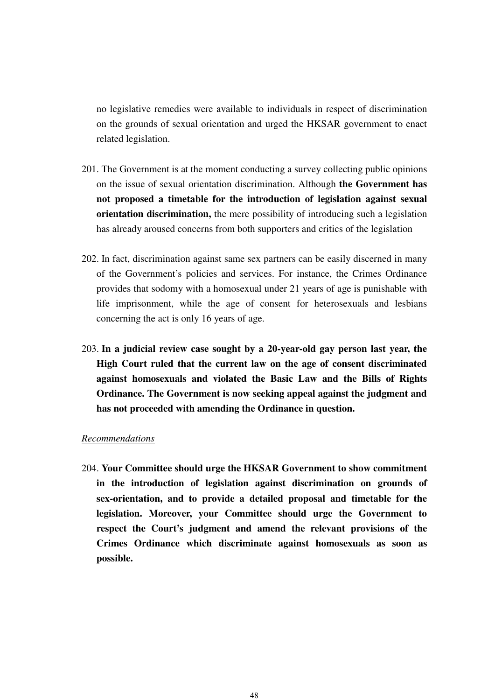no legislative remedies were available to individuals in respect of discrimination on the grounds of sexual orientation and urged the HKSAR government to enact related legislation.

- 201. The Government is at the moment conducting a survey collecting public opinions on the issue of sexual orientation discrimination. Although **the Government has not proposed a timetable for the introduction of legislation against sexual orientation discrimination,** the mere possibility of introducing such a legislation has already aroused concerns from both supporters and critics of the legislation
- 202. In fact, discrimination against same sex partners can be easily discerned in many of the Government's policies and services. For instance, the Crimes Ordinance provides that sodomy with a homosexual under 21 years of age is punishable with life imprisonment, while the age of consent for heterosexuals and lesbians concerning the act is only 16 years of age.
- 203. **In a judicial review case sought by a 20-year-old gay person last year, the High Court ruled that the current law on the age of consent discriminated against homosexuals and violated the Basic Law and the Bills of Rights Ordinance. The Government is now seeking appeal against the judgment and has not proceeded with amending the Ordinance in question.**

#### *Recommendations*

204. **Your Committee should urge the HKSAR Government to show commitment in the introduction of legislation against discrimination on grounds of sex-orientation, and to provide a detailed proposal and timetable for the legislation. Moreover, your Committee should urge the Government to respect the Court's judgment and amend the relevant provisions of the Crimes Ordinance which discriminate against homosexuals as soon as possible.**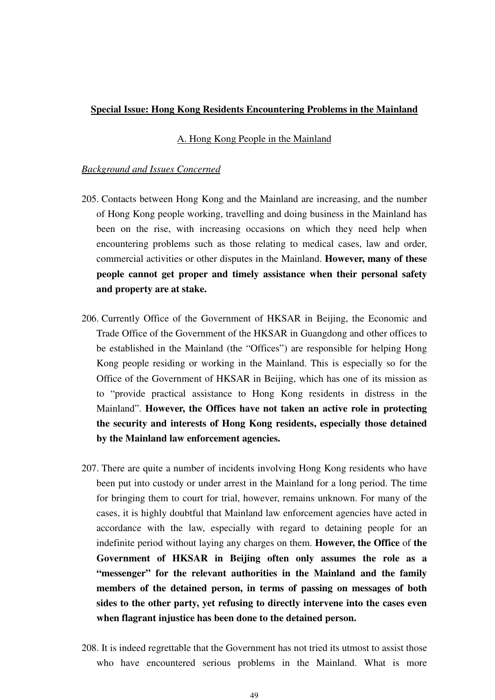# **Special Issue: Hong Kong Residents Encountering Problems in the Mainland**

### A. Hong Kong People in the Mainland

- 205. Contacts between Hong Kong and the Mainland are increasing, and the number of Hong Kong people working, travelling and doing business in the Mainland has been on the rise, with increasing occasions on which they need help when encountering problems such as those relating to medical cases, law and order, commercial activities or other disputes in the Mainland. **However, many of these people cannot get proper and timely assistance when their personal safety and property are at stake.**
- 206. Currently Office of the Government of HKSAR in Beijing, the Economic and Trade Office of the Government of the HKSAR in Guangdong and other offices to be established in the Mainland (the "Offices") are responsible for helping Hong Kong people residing or working in the Mainland. This is especially so for the Office of the Government of HKSAR in Beijing, which has one of its mission as to "provide practical assistance to Hong Kong residents in distress in the Mainland". **However, the Offices have not taken an active role in protecting the security and interests of Hong Kong residents, especially those detained by the Mainland law enforcement agencies.**
- 207. There are quite a number of incidents involving Hong Kong residents who have been put into custody or under arrest in the Mainland for a long period. The time for bringing them to court for trial, however, remains unknown. For many of the cases, it is highly doubtful that Mainland law enforcement agencies have acted in accordance with the law, especially with regard to detaining people for an indefinite period without laying any charges on them. **However, the Office** of **the Government of HKSAR in Beijing often only assumes the role as a "messenger" for the relevant authorities in the Mainland and the family members of the detained person, in terms of passing on messages of both sides to the other party, yet refusing to directly intervene into the cases even when flagrant injustice has been done to the detained person.**
- 208. It is indeed regrettable that the Government has not tried its utmost to assist those who have encountered serious problems in the Mainland. What is more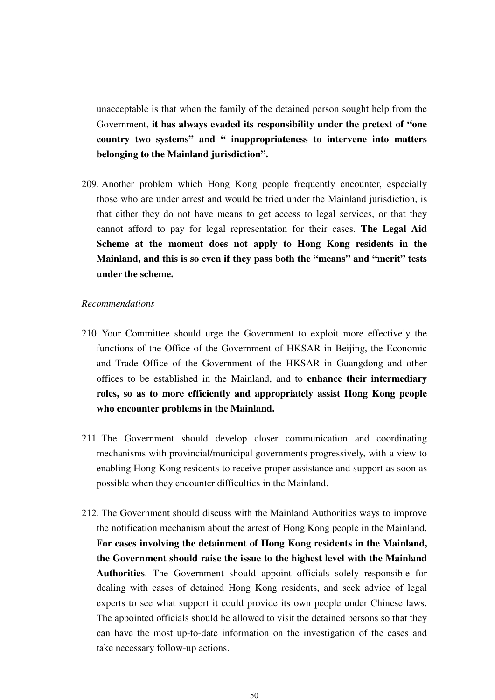unacceptable is that when the family of the detained person sought help from the Government, **it has always evaded its responsibility under the pretext of "one country two systems" and " inappropriateness to intervene into matters belonging to the Mainland jurisdiction".** 

209. Another problem which Hong Kong people frequently encounter, especially those who are under arrest and would be tried under the Mainland jurisdiction, is that either they do not have means to get access to legal services, or that they cannot afford to pay for legal representation for their cases. **The Legal Aid Scheme at the moment does not apply to Hong Kong residents in the Mainland, and this is so even if they pass both the "means" and "merit" tests under the scheme.** 

#### *Recommendations*

- 210. Your Committee should urge the Government to exploit more effectively the functions of the Office of the Government of HKSAR in Beijing, the Economic and Trade Office of the Government of the HKSAR in Guangdong and other offices to be established in the Mainland, and to **enhance their intermediary roles, so as to more efficiently and appropriately assist Hong Kong people who encounter problems in the Mainland.**
- 211. The Government should develop closer communication and coordinating mechanisms with provincial/municipal governments progressively, with a view to enabling Hong Kong residents to receive proper assistance and support as soon as possible when they encounter difficulties in the Mainland.
- 212. The Government should discuss with the Mainland Authorities ways to improve the notification mechanism about the arrest of Hong Kong people in the Mainland. **For cases involving the detainment of Hong Kong residents in the Mainland, the Government should raise the issue to the highest level with the Mainland Authorities**. The Government should appoint officials solely responsible for dealing with cases of detained Hong Kong residents, and seek advice of legal experts to see what support it could provide its own people under Chinese laws. The appointed officials should be allowed to visit the detained persons so that they can have the most up-to-date information on the investigation of the cases and take necessary follow-up actions.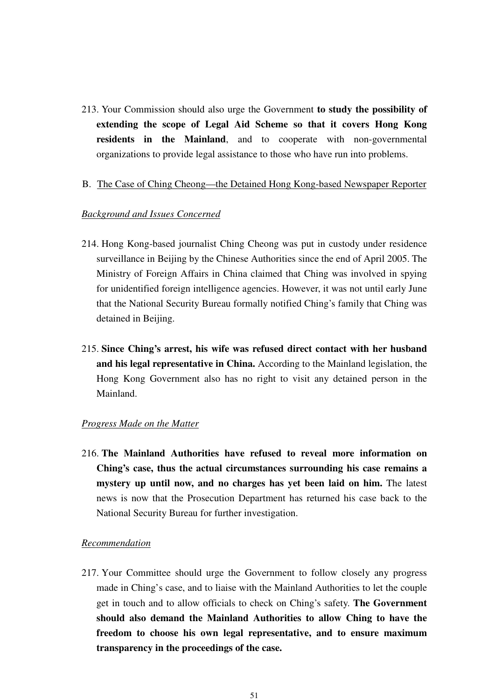213. Your Commission should also urge the Government **to study the possibility of extending the scope of Legal Aid Scheme so that it covers Hong Kong residents in the Mainland**, and to cooperate with non-governmental organizations to provide legal assistance to those who have run into problems.

#### B. The Case of Ching Cheong—the Detained Hong Kong-based Newspaper Reporter

# *Background and Issues Concerned*

- 214. Hong Kong-based journalist Ching Cheong was put in custody under residence surveillance in Beijing by the Chinese Authorities since the end of April 2005. The Ministry of Foreign Affairs in China claimed that Ching was involved in spying for unidentified foreign intelligence agencies. However, it was not until early June that the National Security Bureau formally notified Ching's family that Ching was detained in Beijing.
- 215. **Since Ching's arrest, his wife was refused direct contact with her husband and his legal representative in China.** According to the Mainland legislation, the Hong Kong Government also has no right to visit any detained person in the Mainland.

#### *Progress Made on the Matter*

216. **The Mainland Authorities have refused to reveal more information on Ching's case, thus the actual circumstances surrounding his case remains a mystery up until now, and no charges has yet been laid on him.** The latest news is now that the Prosecution Department has returned his case back to the National Security Bureau for further investigation.

# *Recommendation*

217. Your Committee should urge the Government to follow closely any progress made in Ching's case, and to liaise with the Mainland Authorities to let the couple get in touch and to allow officials to check on Ching's safety. **The Government should also demand the Mainland Authorities to allow Ching to have the freedom to choose his own legal representative, and to ensure maximum transparency in the proceedings of the case.**